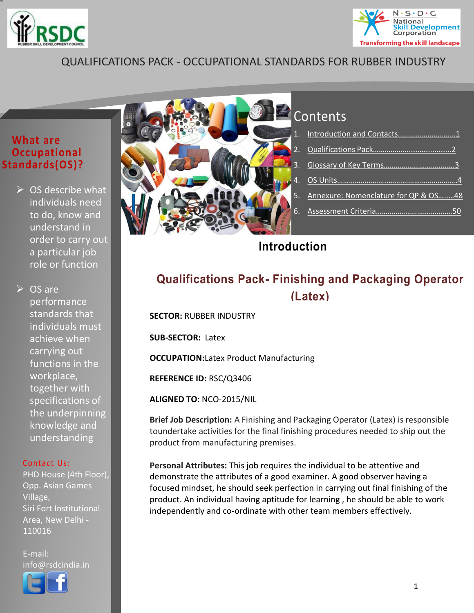<span id="page-0-1"></span>



### QUALIFICATIONS PACK - OCCUPATIONAL STANDARDS FOR RUBBER INDUSTRY

### **What are Occupational Standards(OS)?**

 $\triangleright$  OS describe what individuals need to do, know and understand in order to carry out a particular job role or function

 $\triangleright$  OS are performance standards that individuals must achieve when carrying out functions in the workplace, together with specifications of the underpinning knowledge and understanding

#### Contact Us:

PHD House (4th Floor), Opp. Asian Games Village, Siri Fort Institutional Area, New Delhi - 110016

E-mail: info@rsdcindia.in



## **Contents**

| 5. Annexure: Nomenclature for QP & OS48 |  |
|-----------------------------------------|--|
|                                         |  |
|                                         |  |

### <span id="page-0-0"></span>**Introduction**

## **Qualifications Pack- Finishing and Packaging Operator (Latex)**

**SECTOR:** RUBBER INDUSTRY

**SUB-SECTOR:** Latex

**OCCUPATION:**Latex Product Manufacturing

**REFERENCE ID:** RSC/Q3406

**ALIGNED TO:** NCO-2015/NIL

**Brief Job Description:** A Finishing and Packaging Operator (Latex) is responsible toundertake activities for the final finishing procedures needed to ship out the product from manufacturing premises.

**Personal Attributes:** This job requires the individual to be attentive and demonstrate the attributes of a good examiner. A good observer having a focused mindset, he should seek perfection in carrying out final finishing of the product. An individual having aptitude for learning , he should be able to work independently and co-ordinate with other team members effectively.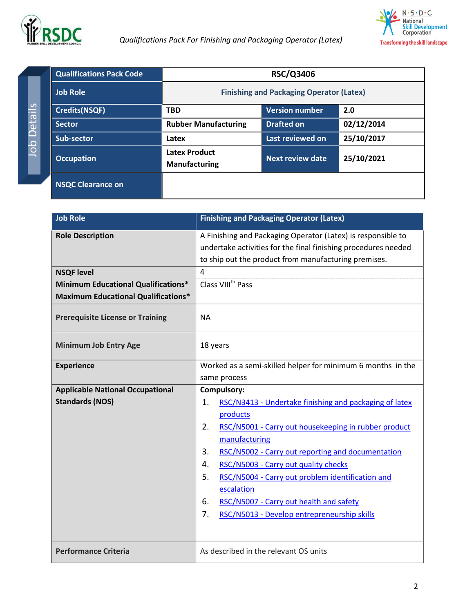



<span id="page-1-0"></span>**Qualifications Pack Code RSC/Q3406 Job Role Finishing and Packaging Operator (Latex) Finishing and Packaging Operator (Latex) Credits(NSQF) TBD Version number 2.0 Sector Rubber Manufacturing Drafted on 02/12/2014 Sub-sector Latex Latex Latex Last reviewed on 25/10/2017 Occupation Latex Product Manufacturing Next review date 25/10/2021 NSQC Clearance on** 

| <b>Job Role</b>                            | <b>Finishing and Packaging Operator (Latex)</b>                                                                                |  |
|--------------------------------------------|--------------------------------------------------------------------------------------------------------------------------------|--|
| <b>Role Description</b>                    | A Finishing and Packaging Operator (Latex) is responsible to<br>undertake activities for the final finishing procedures needed |  |
|                                            | to ship out the product from manufacturing premises.                                                                           |  |
| <b>NSQF level</b>                          | $\overline{4}$                                                                                                                 |  |
| <b>Minimum Educational Qualifications*</b> | Class VIII <sup>th</sup> Pass                                                                                                  |  |
| <b>Maximum Educational Qualifications*</b> |                                                                                                                                |  |
| <b>Prerequisite License or Training</b>    | <b>NA</b>                                                                                                                      |  |
| <b>Minimum Job Entry Age</b>               | 18 years                                                                                                                       |  |
| <b>Experience</b>                          | Worked as a semi-skilled helper for minimum 6 months in the                                                                    |  |
|                                            | same process                                                                                                                   |  |
| <b>Applicable National Occupational</b>    | Compulsory:                                                                                                                    |  |
| <b>Standards (NOS)</b>                     | RSC/N3413 - Undertake finishing and packaging of latex<br>1.                                                                   |  |
|                                            | products                                                                                                                       |  |
|                                            | RSC/N5001 - Carry out housekeeping in rubber product<br>2.                                                                     |  |
|                                            | manufacturing                                                                                                                  |  |
|                                            | 3.<br>RSC/N5002 - Carry out reporting and documentation                                                                        |  |
|                                            | RSC/N5003 - Carry out quality checks<br>4.                                                                                     |  |
|                                            | 5.<br>RSC/N5004 - Carry out problem identification and                                                                         |  |
|                                            | escalation                                                                                                                     |  |
|                                            | RSC/N5007 - Carry out health and safety<br>6.                                                                                  |  |
|                                            | 7.<br>RSC/N5013 - Develop entrepreneurship skills                                                                              |  |
|                                            |                                                                                                                                |  |
| <b>Performance Criteria</b>                | As described in the relevant OS units                                                                                          |  |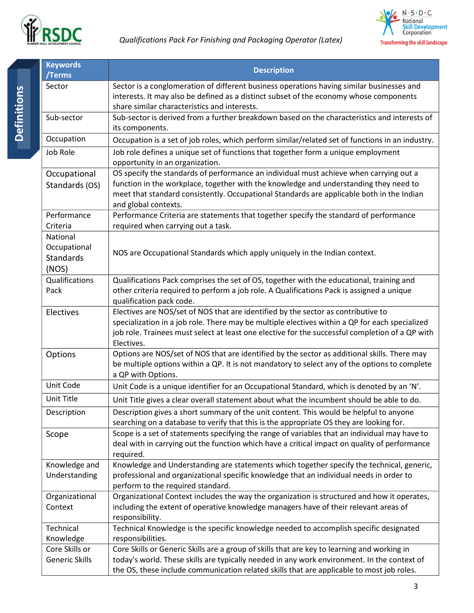



<span id="page-2-0"></span>

| <b>Keywords</b><br>/Terms                      | <b>Description</b>                                                                                                                                                                                                                                                                                   |
|------------------------------------------------|------------------------------------------------------------------------------------------------------------------------------------------------------------------------------------------------------------------------------------------------------------------------------------------------------|
| Sector                                         | Sector is a conglomeration of different business operations having similar businesses and<br>interests. It may also be defined as a distinct subset of the economy whose components<br>share similar characteristics and interests.                                                                  |
| Sub-sector                                     | Sub-sector is derived from a further breakdown based on the characteristics and interests of<br>its components.                                                                                                                                                                                      |
| Occupation                                     | Occupation is a set of job roles, which perform similar/related set of functions in an industry.                                                                                                                                                                                                     |
| Job Role                                       | Job role defines a unique set of functions that together form a unique employment<br>opportunity in an organization.                                                                                                                                                                                 |
| Occupational<br>Standards (OS)                 | OS specify the standards of performance an individual must achieve when carrying out a<br>function in the workplace, together with the knowledge and understanding they need to<br>meet that standard consistently. Occupational Standards are applicable both in the Indian<br>and global contexts. |
| Performance<br>Criteria                        | Performance Criteria are statements that together specify the standard of performance<br>required when carrying out a task.                                                                                                                                                                          |
| National<br>Occupational<br>Standards<br>(NOS) | NOS are Occupational Standards which apply uniquely in the Indian context.                                                                                                                                                                                                                           |
| Qualifications<br>Pack                         | Qualifications Pack comprises the set of OS, together with the educational, training and<br>other criteria required to perform a job role. A Qualifications Pack is assigned a unique<br>qualification pack code.                                                                                    |
| Electives                                      | Electives are NOS/set of NOS that are identified by the sector as contributive to<br>specialization in a job role. There may be multiple electives within a QP for each specialized<br>job role. Trainees must select at least one elective for the successful completion of a QP with<br>Electives. |
| Options                                        | Options are NOS/set of NOS that are identified by the sector as additional skills. There may<br>be multiple options within a QP. It is not mandatory to select any of the options to complete<br>a QP with Options.                                                                                  |
| Unit Code                                      | Unit Code is a unique identifier for an Occupational Standard, which is denoted by an 'N'.                                                                                                                                                                                                           |
| Unit Title                                     | Unit Title gives a clear overall statement about what the incumbent should be able to do.                                                                                                                                                                                                            |
| Description                                    | Description gives a short summary of the unit content. This would be helpful to anyone<br>searching on a database to verify that this is the appropriate OS they are looking for.                                                                                                                    |
| Scope                                          | Scope is a set of statements specifying the range of variables that an individual may have to<br>deal with in carrying out the function which have a critical impact on quality of performance<br>required.                                                                                          |
| Knowledge and<br>Understanding                 | Knowledge and Understanding are statements which together specify the technical, generic,<br>professional and organizational specific knowledge that an individual needs in order to<br>perform to the required standard.                                                                            |
| Organizational<br>Context                      | Organizational Context includes the way the organization is structured and how it operates,<br>including the extent of operative knowledge managers have of their relevant areas of<br>responsibility.                                                                                               |
| Technical<br>Knowledge                         | Technical Knowledge is the specific knowledge needed to accomplish specific designated<br>responsibilities.                                                                                                                                                                                          |
| Core Skills or<br><b>Generic Skills</b>        | Core Skills or Generic Skills are a group of skills that are key to learning and working in<br>today's world. These skills are typically needed in any work environment. In the context of<br>the OS, these include communication related skills that are applicable to most job roles.              |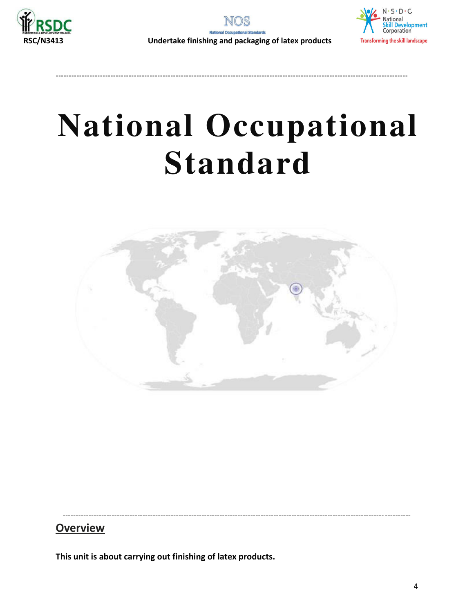

**---------------------------------------------------------------------------------------------------------------------------------------**



# **National Occupational Standard**

<span id="page-3-1"></span><span id="page-3-0"></span>

----------------------------------------------------------------------------------------------------------------------------- ----------

### **Overview**

**This unit is about carrying out finishing of latex products.**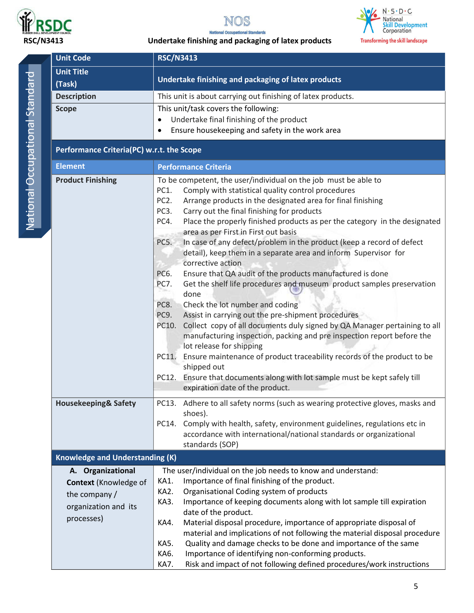





### **RSC/N3413 Undertake finishing and packaging of latex products**

| <b>Unit Code</b>                       | <b>RSC/N3413</b>                                                                                                                                      |  |  |  |
|----------------------------------------|-------------------------------------------------------------------------------------------------------------------------------------------------------|--|--|--|
| <b>Unit Title</b>                      |                                                                                                                                                       |  |  |  |
| (Task)                                 | Undertake finishing and packaging of latex products                                                                                                   |  |  |  |
| <b>Description</b>                     | This unit is about carrying out finishing of latex products.                                                                                          |  |  |  |
| <b>Scope</b>                           | This unit/task covers the following:                                                                                                                  |  |  |  |
|                                        | Undertake final finishing of the product<br>٠                                                                                                         |  |  |  |
|                                        | Ensure housekeeping and safety in the work area<br>$\bullet$                                                                                          |  |  |  |
|                                        | Performance Criteria(PC) w.r.t. the Scope                                                                                                             |  |  |  |
| <b>Element</b>                         | <b>Performance Criteria</b>                                                                                                                           |  |  |  |
| <b>Product Finishing</b>               | To be competent, the user/individual on the job must be able to                                                                                       |  |  |  |
|                                        | PC1.<br>Comply with statistical quality control procedures                                                                                            |  |  |  |
|                                        | PC <sub>2</sub> .<br>Arrange products in the designated area for final finishing                                                                      |  |  |  |
|                                        | PC3.<br>Carry out the final finishing for products<br>Place the properly finished products as per the category in the designated<br>PC4.              |  |  |  |
|                                        | area as per First in First out basis                                                                                                                  |  |  |  |
|                                        | In case of any defect/problem in the product (keep a record of defect<br>PC5.                                                                         |  |  |  |
|                                        | detail), keep them in a separate area and inform Supervisor for                                                                                       |  |  |  |
|                                        | corrective action                                                                                                                                     |  |  |  |
|                                        | PC6.<br>Ensure that QA audit of the products manufactured is done                                                                                     |  |  |  |
|                                        | Get the shelf life procedures and museum product samples preservation<br>PC7.                                                                         |  |  |  |
|                                        | done                                                                                                                                                  |  |  |  |
|                                        | Check the lot number and coding<br>PC8.<br>Assist in carrying out the pre-shipment procedures<br>PC9.                                                 |  |  |  |
|                                        | Collect copy of all documents duly signed by QA Manager pertaining to all<br>PC10.                                                                    |  |  |  |
|                                        | manufacturing inspection, packing and pre inspection report before the                                                                                |  |  |  |
|                                        | lot release for shipping                                                                                                                              |  |  |  |
|                                        | Ensure maintenance of product traceability records of the product to be<br>PC11.                                                                      |  |  |  |
|                                        | shipped out                                                                                                                                           |  |  |  |
|                                        | PC12. Ensure that documents along with lot sample must be kept safely till                                                                            |  |  |  |
|                                        | expiration date of the product.                                                                                                                       |  |  |  |
| <b>Housekeeping&amp; Safety</b>        | PC13. Adhere to all safety norms (such as wearing protective gloves, masks and                                                                        |  |  |  |
|                                        | shoes).                                                                                                                                               |  |  |  |
|                                        | Comply with health, safety, environment guidelines, regulations etc in<br>PC14.<br>accordance with international/national standards or organizational |  |  |  |
|                                        | standards (SOP)                                                                                                                                       |  |  |  |
| <b>Knowledge and Understanding (K)</b> |                                                                                                                                                       |  |  |  |
| A. Organizational                      | The user/individual on the job needs to know and understand:                                                                                          |  |  |  |
| <b>Context</b> (Knowledge of           | Importance of final finishing of the product.<br>KA1.                                                                                                 |  |  |  |
| the company /                          | Organisational Coding system of products<br>KA2.                                                                                                      |  |  |  |
| organization and its                   | KA3.<br>Importance of keeping documents along with lot sample till expiration<br>date of the product.                                                 |  |  |  |
| processes)                             | Material disposal procedure, importance of appropriate disposal of<br>KA4.                                                                            |  |  |  |
|                                        | material and implications of not following the material disposal procedure                                                                            |  |  |  |
|                                        | Quality and damage checks to be done and importance of the same<br>KA5.                                                                               |  |  |  |
|                                        | KA6.<br>Importance of identifying non-conforming products.                                                                                            |  |  |  |
|                                        | KA7.<br>Risk and impact of not following defined procedures/work instructions                                                                         |  |  |  |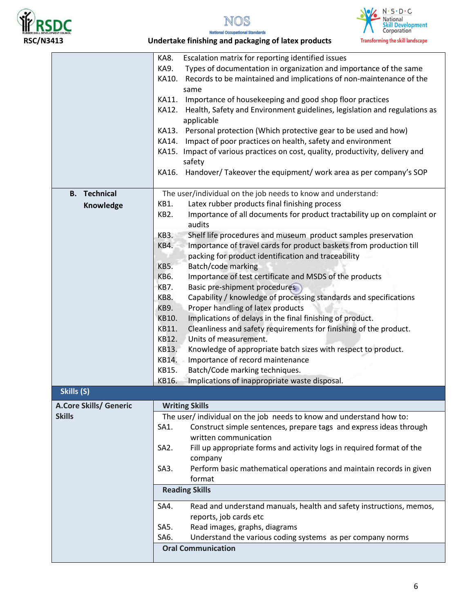







|                                         | KA8.<br>Escalation matrix for reporting identified issues                                                                                  |
|-----------------------------------------|--------------------------------------------------------------------------------------------------------------------------------------------|
|                                         | KA9.<br>Types of documentation in organization and importance of the same                                                                  |
|                                         | KA10.<br>Records to be maintained and implications of non-maintenance of the<br>same                                                       |
|                                         | Importance of housekeeping and good shop floor practices<br>KA11.                                                                          |
|                                         | Health, Safety and Environment guidelines, legislation and regulations as<br>KA12.                                                         |
|                                         | applicable                                                                                                                                 |
|                                         | KA13. Personal protection (Which protective gear to be used and how)                                                                       |
|                                         | Impact of poor practices on health, safety and environment<br>KA14.                                                                        |
|                                         | KA15. Impact of various practices on cost, quality, productivity, delivery and                                                             |
|                                         | safety                                                                                                                                     |
|                                         | Handover/Takeover the equipment/ work area as per company's SOP<br>KA16.                                                                   |
| <b>B.</b> Technical                     | The user/individual on the job needs to know and understand:                                                                               |
| Knowledge                               | Latex rubber products final finishing process<br>KB1.                                                                                      |
|                                         | Importance of all documents for product tractability up on complaint or<br>KB2.                                                            |
|                                         | audits                                                                                                                                     |
|                                         | Shelf life procedures and museum product samples preservation<br><b>KB3.</b><br>KB4.                                                       |
|                                         | Importance of travel cards for product baskets from production till                                                                        |
|                                         | packing for product identification and traceability<br>KB5.                                                                                |
|                                         | Batch/code marking<br>Importance of test certificate and MSDS of the products<br>KB6.                                                      |
|                                         | KB7.<br>Basic pre-shipment procedures                                                                                                      |
|                                         | KB8.<br>Capability / knowledge of processing standards and specifications                                                                  |
|                                         | KB9.<br>Proper handling of latex products                                                                                                  |
|                                         | KB10.<br>Implications of delays in the final finishing of product.                                                                         |
|                                         | KB11.<br>Cleanliness and safety requirements for finishing of the product.                                                                 |
|                                         | KB12.<br>Units of measurement.                                                                                                             |
|                                         | KB13.<br>Knowledge of appropriate batch sizes with respect to product.                                                                     |
|                                         | KB14.<br>Importance of record maintenance                                                                                                  |
|                                         | KB15.<br>Batch/Code marking techniques.                                                                                                    |
|                                         | KB16.<br>Implications of inappropriate waste disposal.                                                                                     |
| Skills (S)                              |                                                                                                                                            |
|                                         |                                                                                                                                            |
| A.Core Skills/ Generic<br><b>Skills</b> | <b>Writing Skills</b>                                                                                                                      |
|                                         | The user/ individual on the job needs to know and understand how to:<br>Construct simple sentences, prepare tags and express ideas through |
|                                         | SA1.<br>written communication                                                                                                              |
|                                         | SA <sub>2</sub> .                                                                                                                          |
|                                         | Fill up appropriate forms and activity logs in required format of the                                                                      |
|                                         | company<br>SA3.<br>Perform basic mathematical operations and maintain records in given                                                     |
|                                         | format                                                                                                                                     |
|                                         | <b>Reading Skills</b>                                                                                                                      |
|                                         | Read and understand manuals, health and safety instructions, memos,<br>SA4.                                                                |
|                                         | reports, job cards etc                                                                                                                     |
|                                         | Read images, graphs, diagrams<br>SA5.                                                                                                      |
|                                         | Understand the various coding systems as per company norms<br>SA6.                                                                         |
|                                         | <b>Oral Communication</b>                                                                                                                  |
|                                         |                                                                                                                                            |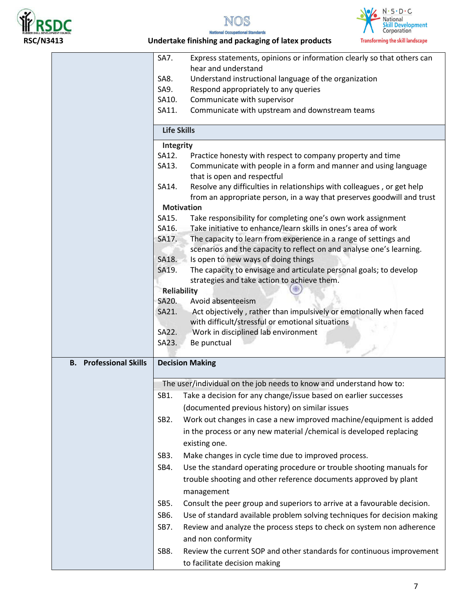







### **RSC/N3413 Undertake finishing and packaging of latex products**

|                               | SA7.<br>Express statements, opinions or information clearly so that others can                                                                            |
|-------------------------------|-----------------------------------------------------------------------------------------------------------------------------------------------------------|
|                               | hear and understand                                                                                                                                       |
|                               | Understand instructional language of the organization<br>SA8.                                                                                             |
|                               | SA9.<br>Respond appropriately to any queries                                                                                                              |
|                               | Communicate with supervisor<br>SA10.                                                                                                                      |
|                               | Communicate with upstream and downstream teams<br>SA11.                                                                                                   |
|                               | <b>Life Skills</b>                                                                                                                                        |
|                               | Integrity                                                                                                                                                 |
|                               | SA12.<br>Practice honesty with respect to company property and time                                                                                       |
|                               | Communicate with people in a form and manner and using language<br>SA13.<br>that is open and respectful                                                   |
|                               | Resolve any difficulties in relationships with colleagues, or get help<br>SA14.<br>from an appropriate person, in a way that preserves goodwill and trust |
|                               | <b>Motivation</b>                                                                                                                                         |
|                               | Take responsibility for completing one's own work assignment<br>SA15.                                                                                     |
|                               | Take initiative to enhance/learn skills in ones's area of work<br>SA16.                                                                                   |
|                               | The capacity to learn from experience in a range of settings and<br>SA17.<br>scenarios and the capacity to reflect on and analyse one's learning.         |
|                               | SA18.<br>Is open to new ways of doing things                                                                                                              |
|                               | The capacity to envisage and articulate personal goals; to develop<br>SA19.                                                                               |
|                               | strategies and take action to achieve them.                                                                                                               |
|                               | Reliability                                                                                                                                               |
|                               | SA20.<br>Avoid absenteeism                                                                                                                                |
|                               | SA21.<br>Act objectively, rather than impulsively or emotionally when faced                                                                               |
|                               | with difficult/stressful or emotional situations                                                                                                          |
|                               | SA22.<br>Work in disciplined lab environment                                                                                                              |
|                               | Be punctual<br>SA23.                                                                                                                                      |
| <b>B.</b> Professional Skills | <b>Decision Making</b>                                                                                                                                    |
|                               | The user/individual on the job needs to know and understand how to:                                                                                       |
|                               | Take a decision for any change/issue based on earlier successes<br>SB1.                                                                                   |
|                               | (documented previous history) on similar issues                                                                                                           |
|                               | Work out changes in case a new improved machine/equipment is added<br>SB <sub>2</sub> .                                                                   |
|                               | in the process or any new material / chemical is developed replacing                                                                                      |
|                               | existing one.                                                                                                                                             |
|                               | SB <sub>3</sub> .<br>Make changes in cycle time due to improved process.                                                                                  |
|                               | SB4.<br>Use the standard operating procedure or trouble shooting manuals for                                                                              |
|                               | trouble shooting and other reference documents approved by plant                                                                                          |
|                               | management                                                                                                                                                |
|                               | SB5.<br>Consult the peer group and superiors to arrive at a favourable decision.                                                                          |
|                               | Use of standard available problem solving techniques for decision making<br>SB6.                                                                          |
|                               | Review and analyze the process steps to check on system non adherence<br>SB7.                                                                             |
|                               | and non conformity                                                                                                                                        |
|                               |                                                                                                                                                           |
|                               | Review the current SOP and other standards for continuous improvement<br>SB8.<br>to facilitate decision making                                            |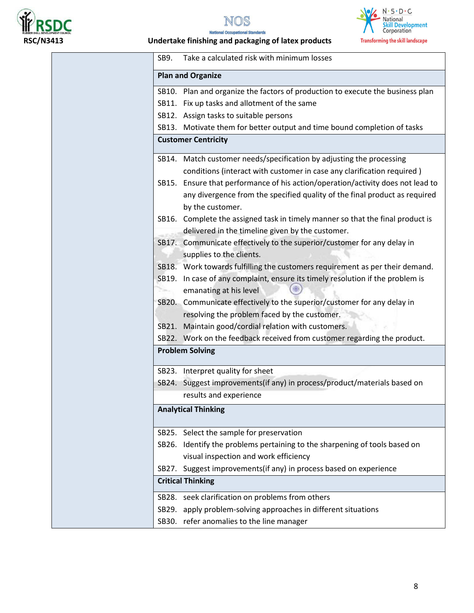





 $N\%$ 

### **RSC/N3413 Undertake finishing and packaging of latex products**

| Take a calculated risk with minimum losses<br>SB9.                                                                                                                                |
|-----------------------------------------------------------------------------------------------------------------------------------------------------------------------------------|
| <b>Plan and Organize</b>                                                                                                                                                          |
| SB10. Plan and organize the factors of production to execute the business plan                                                                                                    |
| SB11. Fix up tasks and allotment of the same                                                                                                                                      |
| SB12. Assign tasks to suitable persons                                                                                                                                            |
| SB13. Motivate them for better output and time bound completion of tasks                                                                                                          |
| <b>Customer Centricity</b>                                                                                                                                                        |
| SB14. Match customer needs/specification by adjusting the processing                                                                                                              |
| conditions (interact with customer in case any clarification required)                                                                                                            |
| SB15. Ensure that performance of his action/operation/activity does not lead to<br>any divergence from the specified quality of the final product as required<br>by the customer. |
| Complete the assigned task in timely manner so that the final product is<br>SB16.<br>delivered in the timeline given by the customer.                                             |
| SB17. Communicate effectively to the superior/customer for any delay in<br>supplies to the clients.                                                                               |
| SB18. Work towards fulfilling the customers requirement as per their demand.                                                                                                      |
| SB19. In case of any complaint, ensure its timely resolution if the problem is<br>emanating at his level                                                                          |
| SB20. Communicate effectively to the superior/customer for any delay in                                                                                                           |
| resolving the problem faced by the customer.                                                                                                                                      |
| Maintain good/cordial relation with customers.<br>SB21.                                                                                                                           |
| SB22. Work on the feedback received from customer regarding the product.                                                                                                          |
| <b>Problem Solving</b>                                                                                                                                                            |
| SB23. Interpret quality for sheet                                                                                                                                                 |
| SB24. Suggest improvements(if any) in process/product/materials based on                                                                                                          |
| results and experience                                                                                                                                                            |
| <b>Analytical Thinking</b>                                                                                                                                                        |
| SB25. Select the sample for preservation                                                                                                                                          |
| SB26. Identify the problems pertaining to the sharpening of tools based on                                                                                                        |
| visual inspection and work efficiency                                                                                                                                             |
| Suggest improvements(if any) in process based on experience<br>SB27.                                                                                                              |
| <b>Critical Thinking</b>                                                                                                                                                          |
|                                                                                                                                                                                   |
| SB28. seek clarification on problems from others                                                                                                                                  |
| SB29. apply problem-solving approaches in different situations                                                                                                                    |
| SB30. refer anomalies to the line manager                                                                                                                                         |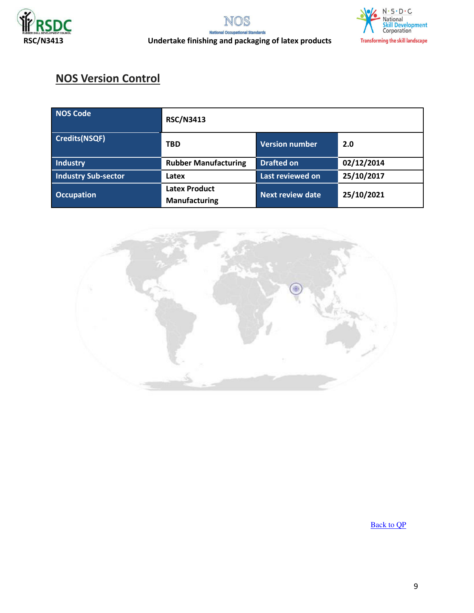



## **NOS Version Control**

| <b>NOS Code</b>            | <b>RSC/N3413</b>                             |                         |            |
|----------------------------|----------------------------------------------|-------------------------|------------|
| <b>Credits(NSQF)</b>       | <b>TBD</b>                                   | <b>Version number</b>   | 2.0        |
| Industry                   | <b>Rubber Manufacturing</b>                  | <b>Drafted on</b>       | 02/12/2014 |
| <b>Industry Sub-sector</b> | Latex                                        | Last reviewed on        | 25/10/2017 |
| <b>Occupation</b>          | <b>Latex Product</b><br><b>Manufacturing</b> | <b>Next review date</b> | 25/10/2021 |



[Back to QP](#page-1-0)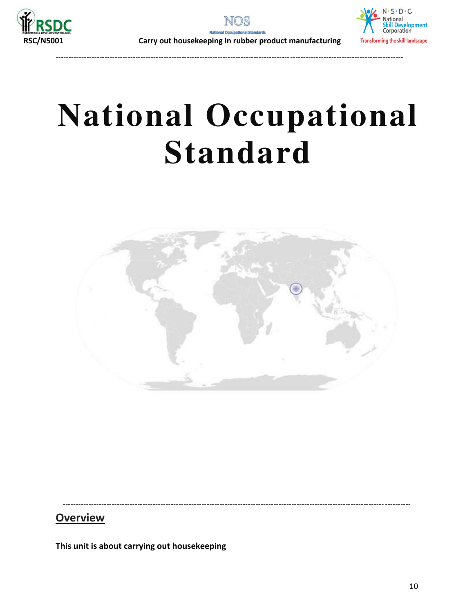





---------------------------------------------------------------------------------------------------------------------------------------

# **National Occupational Standard**



<span id="page-9-0"></span>----------------------------------------------------------------------------------------------------------------------------- ----------

### **Overview**

**This unit is about carrying out housekeeping**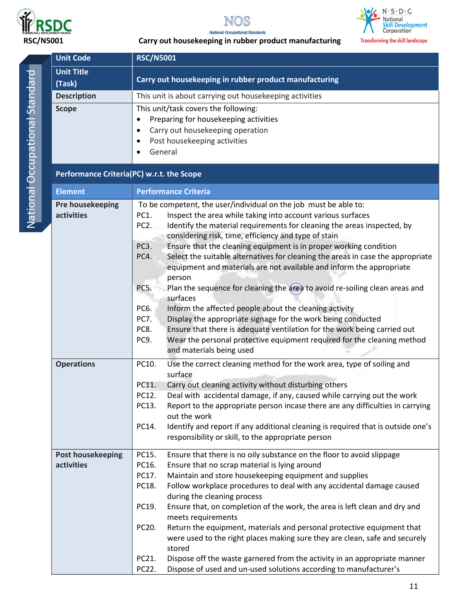





|           | <b>Unit Code</b>                          | <b>RSC/N5001</b>                                                                                          |  |
|-----------|-------------------------------------------|-----------------------------------------------------------------------------------------------------------|--|
|           | <b>Unit Title</b>                         |                                                                                                           |  |
|           | (Task)                                    | Carry out housekeeping in rubber product manufacturing                                                    |  |
|           | <b>Description</b>                        | This unit is about carrying out housekeeping activities                                                   |  |
|           | <b>Scope</b>                              | This unit/task covers the following:                                                                      |  |
| $\bullet$ |                                           | Preparing for housekeeping activities                                                                     |  |
|           |                                           | Carry out housekeeping operation<br>$\bullet$                                                             |  |
|           |                                           | Post housekeeping activities<br>$\bullet$                                                                 |  |
|           |                                           | General<br>$\bullet$                                                                                      |  |
|           | Performance Criteria(PC) w.r.t. the Scope |                                                                                                           |  |
|           | <b>Element</b>                            | <b>Performance Criteria</b>                                                                               |  |
|           | Pre housekeeping                          | To be competent, the user/individual on the job must be able to:                                          |  |
|           | activities                                | Inspect the area while taking into account various surfaces<br>PC1.                                       |  |
|           |                                           | PC <sub>2</sub> .<br>Identify the material requirements for cleaning the areas inspected, by              |  |
|           |                                           | considering risk, time, efficiency and type of stain                                                      |  |
|           |                                           | PC <sub>3</sub> .<br>Ensure that the cleaning equipment is in proper working condition                    |  |
|           |                                           | Select the suitable alternatives for cleaning the areas in case the appropriate<br>PC4.                   |  |
|           |                                           | equipment and materials are not available and inform the appropriate                                      |  |
|           |                                           | person<br>Plan the sequence for cleaning the area to avoid re-soiling clean areas and<br>PC5.             |  |
|           |                                           | surfaces                                                                                                  |  |
|           |                                           | PC6.<br>Inform the affected people about the cleaning activity                                            |  |
|           |                                           | <b>PC7.</b><br>Display the appropriate signage for the work being conducted                               |  |
|           |                                           | Ensure that there is adequate ventilation for the work being carried out<br>PC8.                          |  |
|           |                                           | PC9.<br>Wear the personal protective equipment required for the cleaning method                           |  |
|           |                                           | and materials being used                                                                                  |  |
|           | <b>Operations</b>                         | Use the correct cleaning method for the work area, type of soiling and<br>PC10.<br>surface                |  |
|           |                                           | Carry out cleaning activity without disturbing others<br>PC11.                                            |  |
|           |                                           | Deal with accidental damage, if any, caused while carrying out the work<br>PC12.                          |  |
|           |                                           | PC13.<br>Report to the appropriate person incase there are any difficulties in carrying                   |  |
|           |                                           | out the work                                                                                              |  |
|           |                                           | Identify and report if any additional cleaning is required that is outside one's<br>PC14.                 |  |
|           |                                           | responsibility or skill, to the appropriate person                                                        |  |
|           | <b>Post housekeeping</b>                  | Ensure that there is no oily substance on the floor to avoid slippage<br>PC15.                            |  |
|           | activities                                | Ensure that no scrap material is lying around<br>PC16.                                                    |  |
|           |                                           | PC17.<br>Maintain and store housekeeping equipment and supplies                                           |  |
|           |                                           | Follow workplace procedures to deal with any accidental damage caused<br>PC18.                            |  |
|           |                                           | during the cleaning process                                                                               |  |
|           |                                           | PC19.<br>Ensure that, on completion of the work, the area is left clean and dry and<br>meets requirements |  |
|           |                                           | PC20.<br>Return the equipment, materials and personal protective equipment that                           |  |
|           |                                           | were used to the right places making sure they are clean, safe and securely                               |  |
|           |                                           | stored                                                                                                    |  |
|           |                                           | Dispose off the waste garnered from the activity in an appropriate manner<br>PC21.                        |  |
|           |                                           | Dispose of used and un-used solutions according to manufacturer's<br>PC22.                                |  |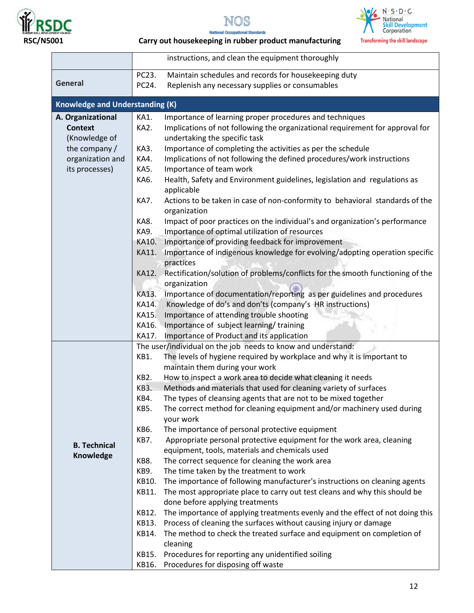







|                                        | instructions, and clean the equipment thoroughly                                                                 |
|----------------------------------------|------------------------------------------------------------------------------------------------------------------|
|                                        | Maintain schedules and records for housekeeping duty<br>PC23.                                                    |
| <b>General</b>                         | PC24.<br>Replenish any necessary supplies or consumables                                                         |
|                                        |                                                                                                                  |
| <b>Knowledge and Understanding (K)</b> |                                                                                                                  |
| A. Organizational                      | KA1.<br>Importance of learning proper procedures and techniques                                                  |
| <b>Context</b>                         | Implications of not following the organizational requirement for approval for<br>KA2.                            |
| (Knowledge of                          | undertaking the specific task                                                                                    |
| the company /                          | Importance of completing the activities as per the schedule<br>KA3.                                              |
| organization and                       | Implications of not following the defined procedures/work instructions<br>KA4.                                   |
| its processes)                         | <b>KA5.</b><br>Importance of team work                                                                           |
|                                        | KA6.<br>Health, Safety and Environment guidelines, legislation and regulations as                                |
|                                        | applicable<br>KA7.<br>Actions to be taken in case of non-conformity to behavioral standards of the               |
|                                        | organization                                                                                                     |
|                                        | Impact of poor practices on the individual's and organization's performance<br>KA8.                              |
|                                        | Importance of optimal utilization of resources<br>KA9.                                                           |
|                                        | Importance of providing feedback for improvement<br>KA10.                                                        |
|                                        | Importance of indigenous knowledge for evolving/adopting operation specific<br>KA11.                             |
|                                        | practices                                                                                                        |
|                                        | Rectification/solution of problems/conflicts for the smooth functioning of the<br>KA12.                          |
|                                        | organization                                                                                                     |
|                                        | Importance of documentation/reporting as per guidelines and procedures<br>KA13.                                  |
|                                        | Knowledge of do's and don'ts (company's HR instructions)<br>KA14.                                                |
|                                        | KA15.<br>Importance of attending trouble shooting                                                                |
|                                        | KA16.<br>Importance of subject learning/training                                                                 |
|                                        | KA17.<br>Importance of Product and its application                                                               |
|                                        | The user/individual on the job needs to know and understand:                                                     |
|                                        | KB1.<br>The levels of hygiene required by workplace and why it is important to<br>maintain them during your work |
|                                        | KB <sub>2</sub> .<br>How to inspect a work area to decide what cleaning it needs                                 |
|                                        | Methods and materials that used for cleaning variety of surfaces<br>KB3.                                         |
|                                        | KB4.<br>The types of cleansing agents that are not to be mixed together                                          |
|                                        | KB5.<br>The correct method for cleaning equipment and/or machinery used during                                   |
|                                        | your work                                                                                                        |
|                                        | The importance of personal protective equipment<br>KB6.                                                          |
|                                        | KB7.<br>Appropriate personal protective equipment for the work area, cleaning                                    |
| <b>B. Technical</b><br>Knowledge       | equipment, tools, materials and chemicals used                                                                   |
|                                        | The correct sequence for cleaning the work area<br>KB8.                                                          |
|                                        | KB9.<br>The time taken by the treatment to work                                                                  |
|                                        | The importance of following manufacturer's instructions on cleaning agents<br>KB10.                              |
|                                        | The most appropriate place to carry out test cleans and why this should be<br>KB11.                              |
|                                        | done before applying treatments                                                                                  |
|                                        | The importance of applying treatments evenly and the effect of not doing this<br>KB12.                           |
|                                        | Process of cleaning the surfaces without causing injury or damage<br>KB13.                                       |
|                                        | The method to check the treated surface and equipment on completion of<br>KB14.<br>cleaning                      |
|                                        | Procedures for reporting any unidentified soiling<br>KB15.                                                       |
|                                        | Procedures for disposing off waste<br>KB16.                                                                      |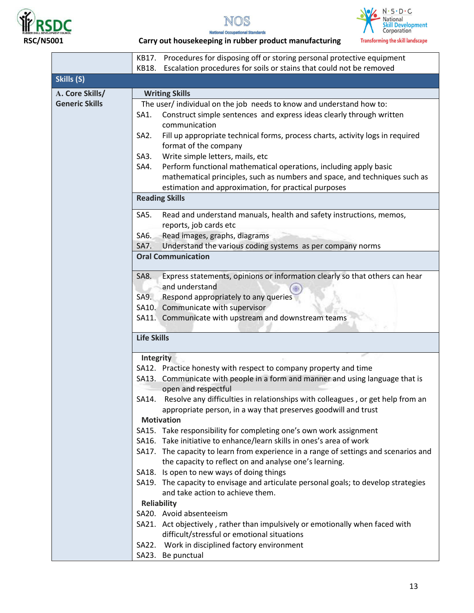





|                                                                                      | KB17. Procedures for disposing off or storing personal protective equipment            |  |  |
|--------------------------------------------------------------------------------------|----------------------------------------------------------------------------------------|--|--|
|                                                                                      | Escalation procedures for soils or stains that could not be removed<br>KB18.           |  |  |
| Skills (S)                                                                           |                                                                                        |  |  |
| A. Core Skills/                                                                      | <b>Writing Skills</b>                                                                  |  |  |
| <b>Generic Skills</b>                                                                | The user/ individual on the job needs to know and understand how to:                   |  |  |
|                                                                                      | Construct simple sentences and express ideas clearly through written<br>SA1.           |  |  |
|                                                                                      | communication                                                                          |  |  |
|                                                                                      | Fill up appropriate technical forms, process charts, activity logs in required<br>SA2. |  |  |
|                                                                                      | format of the company                                                                  |  |  |
|                                                                                      | Write simple letters, mails, etc<br>SA3.                                               |  |  |
|                                                                                      | Perform functional mathematical operations, including apply basic<br>SA4.              |  |  |
|                                                                                      | mathematical principles, such as numbers and space, and techniques such as             |  |  |
|                                                                                      | estimation and approximation, for practical purposes                                   |  |  |
|                                                                                      | <b>Reading Skills</b>                                                                  |  |  |
|                                                                                      | Read and understand manuals, health and safety instructions, memos,<br>SA5.            |  |  |
|                                                                                      | reports, job cards etc                                                                 |  |  |
|                                                                                      | Read images, graphs, diagrams<br>SA6.                                                  |  |  |
|                                                                                      | Understand the various coding systems as per company norms<br>SA7.                     |  |  |
|                                                                                      | <b>Oral Communication</b>                                                              |  |  |
|                                                                                      |                                                                                        |  |  |
|                                                                                      | Express statements, opinions or information clearly so that others can hear<br>SA8.    |  |  |
|                                                                                      | and understand                                                                         |  |  |
|                                                                                      | SA9. Respond appropriately to any queries                                              |  |  |
|                                                                                      | SA10. Communicate with supervisor                                                      |  |  |
|                                                                                      | SA11. Communicate with upstream and downstream teams                                   |  |  |
|                                                                                      | <b>Life Skills</b>                                                                     |  |  |
|                                                                                      | <b>Integrity</b>                                                                       |  |  |
|                                                                                      | SA12. Practice honesty with respect to company property and time                       |  |  |
|                                                                                      | SA13. Communicate with people in a form and manner and using language that is          |  |  |
|                                                                                      | open and respectful                                                                    |  |  |
| SA14. Resolve any difficulties in relationships with colleagues, or get help from an |                                                                                        |  |  |
|                                                                                      | appropriate person, in a way that preserves goodwill and trust                         |  |  |
|                                                                                      | <b>Motivation</b>                                                                      |  |  |
| SA15. Take responsibility for completing one's own work assignment                   |                                                                                        |  |  |
|                                                                                      | SA16. Take initiative to enhance/learn skills in ones's area of work                   |  |  |
|                                                                                      | SA17. The capacity to learn from experience in a range of settings and scenarios and   |  |  |
|                                                                                      | the capacity to reflect on and analyse one's learning.                                 |  |  |
|                                                                                      | SA18. Is open to new ways of doing things                                              |  |  |
|                                                                                      | SA19. The capacity to envisage and articulate personal goals; to develop strategies    |  |  |
|                                                                                      | and take action to achieve them.                                                       |  |  |
|                                                                                      | <b>Reliability</b>                                                                     |  |  |
|                                                                                      | SA20. Avoid absenteeism                                                                |  |  |
|                                                                                      | SA21. Act objectively, rather than impulsively or emotionally when faced with          |  |  |
|                                                                                      | difficult/stressful or emotional situations                                            |  |  |
|                                                                                      | SA22. Work in disciplined factory environment                                          |  |  |
|                                                                                      | SA23. Be punctual                                                                      |  |  |
|                                                                                      |                                                                                        |  |  |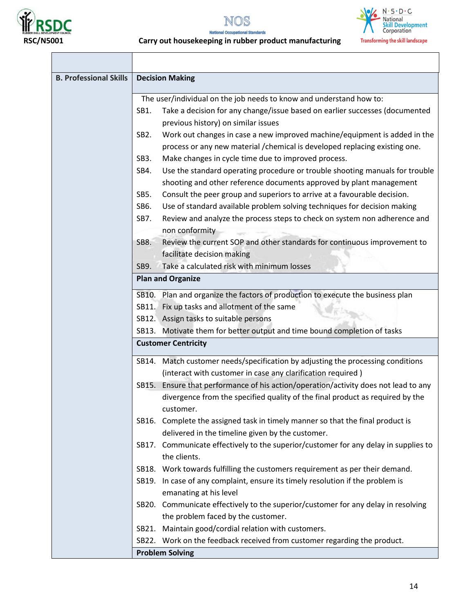





| <b>B. Professional Skills</b> | <b>Decision Making</b>                                                                                                                                      |  |  |  |
|-------------------------------|-------------------------------------------------------------------------------------------------------------------------------------------------------------|--|--|--|
|                               | The user/individual on the job needs to know and understand how to:                                                                                         |  |  |  |
|                               | Take a decision for any change/issue based on earlier successes (documented<br>SB1.<br>previous history) on similar issues                                  |  |  |  |
|                               | Work out changes in case a new improved machine/equipment is added in the<br>SB <sub>2</sub> .                                                              |  |  |  |
|                               | process or any new material / chemical is developed replacing existing one.                                                                                 |  |  |  |
|                               | Make changes in cycle time due to improved process.<br>SB <sub>3</sub> .                                                                                    |  |  |  |
|                               | Use the standard operating procedure or trouble shooting manuals for trouble<br>SB4.<br>shooting and other reference documents approved by plant management |  |  |  |
|                               | SB5.<br>Consult the peer group and superiors to arrive at a favourable decision.                                                                            |  |  |  |
|                               | SB6.<br>Use of standard available problem solving techniques for decision making                                                                            |  |  |  |
|                               | Review and analyze the process steps to check on system non adherence and<br>SB7.                                                                           |  |  |  |
|                               | non conformity                                                                                                                                              |  |  |  |
|                               | Review the current SOP and other standards for continuous improvement to<br>SB8.                                                                            |  |  |  |
|                               | facilitate decision making                                                                                                                                  |  |  |  |
|                               | Take a calculated risk with minimum losses<br>SB9.                                                                                                          |  |  |  |
|                               | <b>Plan and Organize</b>                                                                                                                                    |  |  |  |
|                               | SB10. Plan and organize the factors of production to execute the business plan                                                                              |  |  |  |
|                               | SB11. Fix up tasks and allotment of the same                                                                                                                |  |  |  |
|                               | SB12. Assign tasks to suitable persons                                                                                                                      |  |  |  |
|                               | SB13. Motivate them for better output and time bound completion of tasks                                                                                    |  |  |  |
|                               | <b>Customer Centricity</b>                                                                                                                                  |  |  |  |
|                               | SB14. Match customer needs/specification by adjusting the processing conditions                                                                             |  |  |  |
|                               | (interact with customer in case any clarification required)                                                                                                 |  |  |  |
|                               | Ensure that performance of his action/operation/activity does not lead to any<br>SB15.                                                                      |  |  |  |
|                               | divergence from the specified quality of the final product as required by the<br>customer.                                                                  |  |  |  |
|                               | SB16. Complete the assigned task in timely manner so that the final product is<br>delivered in the timeline given by the customer.                          |  |  |  |
|                               | SB17. Communicate effectively to the superior/customer for any delay in supplies to<br>the clients.                                                         |  |  |  |
|                               | SB18. Work towards fulfilling the customers requirement as per their demand.                                                                                |  |  |  |
|                               | SB19. In case of any complaint, ensure its timely resolution if the problem is<br>emanating at his level                                                    |  |  |  |
|                               | SB20. Communicate effectively to the superior/customer for any delay in resolving                                                                           |  |  |  |
|                               | the problem faced by the customer.                                                                                                                          |  |  |  |
|                               | SB21. Maintain good/cordial relation with customers.                                                                                                        |  |  |  |
|                               | SB22. Work on the feedback received from customer regarding the product.                                                                                    |  |  |  |
|                               | <b>Problem Solving</b>                                                                                                                                      |  |  |  |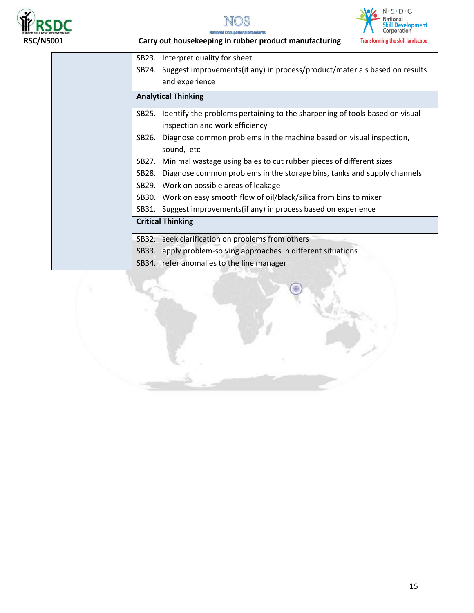





| SB23. | Interpret quality for sheet                                                       |
|-------|-----------------------------------------------------------------------------------|
|       | SB24. Suggest improvements (if any) in process/product/materials based on results |
|       | and experience                                                                    |
|       | <b>Analytical Thinking</b>                                                        |
| SB25. | Identify the problems pertaining to the sharpening of tools based on visual       |
|       | inspection and work efficiency                                                    |
| SB26. | Diagnose common problems in the machine based on visual inspection,               |
|       | sound, etc                                                                        |
| SB27. | Minimal wastage using bales to cut rubber pieces of different sizes               |
| SB28. | Diagnose common problems in the storage bins, tanks and supply channels           |
| SB29. | Work on possible areas of leakage                                                 |
| SB30. | Work on easy smooth flow of oil/black/silica from bins to mixer                   |
| SB31. | Suggest improvements (if any) in process based on experience                      |
|       | <b>Critical Thinking</b>                                                          |
|       | SB32. seek clarification on problems from others                                  |
|       | SB33. apply problem-solving approaches in different situations                    |
|       | SB34. refer anomalies to the line manager                                         |

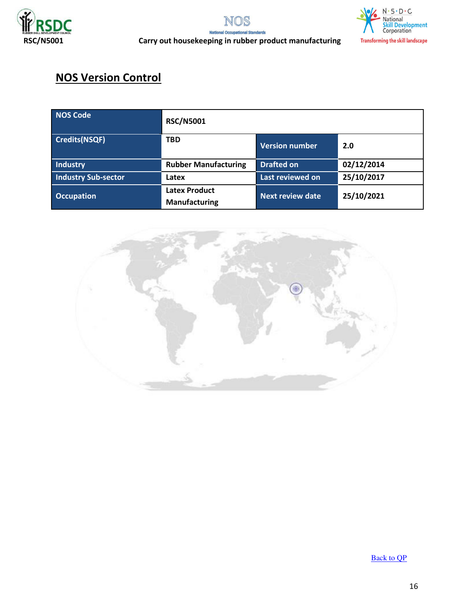





## **NOS Version Control**

| <b>NOS Code</b>            | <b>RSC/N5001</b>                             |                       |            |  |
|----------------------------|----------------------------------------------|-----------------------|------------|--|
| <b>Credits(NSQF)</b>       | <b>TBD</b>                                   | <b>Version number</b> | 2.0        |  |
| Industry                   | <b>Rubber Manufacturing</b>                  | <b>Drafted on</b>     | 02/12/2014 |  |
| <b>Industry Sub-sector</b> | Latex                                        | Last reviewed on      | 25/10/2017 |  |
| <b>Occupation</b>          | <b>Latex Product</b><br><b>Manufacturing</b> | Next review date      | 25/10/2021 |  |



[Back to QP](#page-1-0)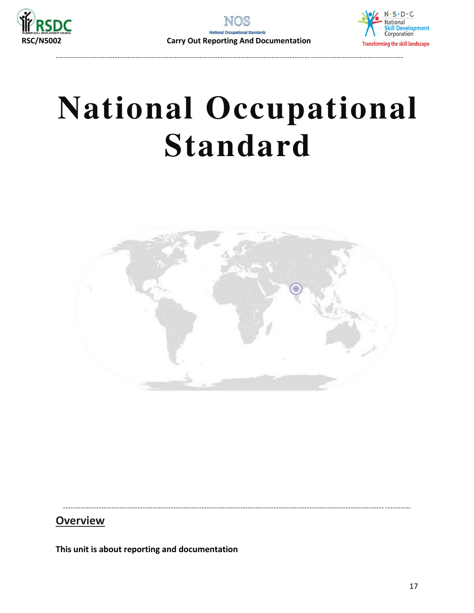

---------------------------------------------------------------------------------------------------------------------------------------



# **National Occupational Standard**

<span id="page-16-0"></span>

----------------------------------------------------------------------------------------------------------------------------- ----------

### **Overview**

**This unit is about reporting and documentation**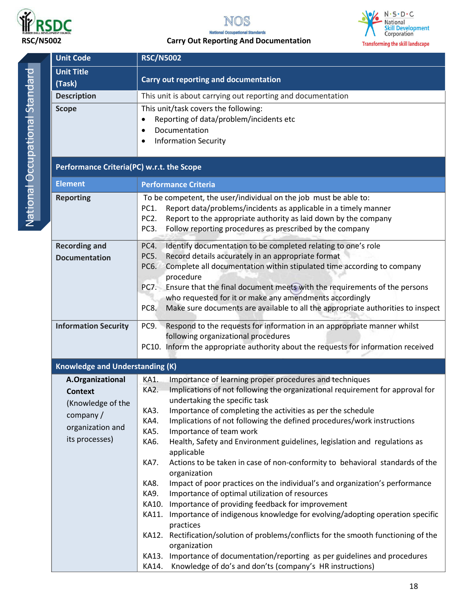



### **RSC/N5002 Carry Out Reporting And Documentation**



National Occupational Standard National Occupational Standard

| <b>Unit Code</b>                                                                                          | <b>RSC/N5002</b>                                                                                                                                                                                                                                                                                                                                                                                                                                                                                                                                                                                                                                                                                                                                                                                                                                                                                                                                                                                                                                                                                                                                                                              |  |  |  |
|-----------------------------------------------------------------------------------------------------------|-----------------------------------------------------------------------------------------------------------------------------------------------------------------------------------------------------------------------------------------------------------------------------------------------------------------------------------------------------------------------------------------------------------------------------------------------------------------------------------------------------------------------------------------------------------------------------------------------------------------------------------------------------------------------------------------------------------------------------------------------------------------------------------------------------------------------------------------------------------------------------------------------------------------------------------------------------------------------------------------------------------------------------------------------------------------------------------------------------------------------------------------------------------------------------------------------|--|--|--|
| <b>Unit Title</b><br>(Task)                                                                               | Carry out reporting and documentation                                                                                                                                                                                                                                                                                                                                                                                                                                                                                                                                                                                                                                                                                                                                                                                                                                                                                                                                                                                                                                                                                                                                                         |  |  |  |
| <b>Description</b>                                                                                        | This unit is about carrying out reporting and documentation                                                                                                                                                                                                                                                                                                                                                                                                                                                                                                                                                                                                                                                                                                                                                                                                                                                                                                                                                                                                                                                                                                                                   |  |  |  |
| <b>Scope</b>                                                                                              | This unit/task covers the following:<br>Reporting of data/problem/incidents etc<br>Documentation<br>$\bullet$<br><b>Information Security</b><br>$\bullet$                                                                                                                                                                                                                                                                                                                                                                                                                                                                                                                                                                                                                                                                                                                                                                                                                                                                                                                                                                                                                                     |  |  |  |
| Performance Criteria(PC) w.r.t. the Scope                                                                 |                                                                                                                                                                                                                                                                                                                                                                                                                                                                                                                                                                                                                                                                                                                                                                                                                                                                                                                                                                                                                                                                                                                                                                                               |  |  |  |
| <b>Element</b>                                                                                            | <b>Performance Criteria</b>                                                                                                                                                                                                                                                                                                                                                                                                                                                                                                                                                                                                                                                                                                                                                                                                                                                                                                                                                                                                                                                                                                                                                                   |  |  |  |
| <b>Reporting</b>                                                                                          | To be competent, the user/individual on the job must be able to:<br>Report data/problems/incidents as applicable in a timely manner<br>PC1.<br>Report to the appropriate authority as laid down by the company<br>PC <sub>2</sub> .<br>Follow reporting procedures as prescribed by the company<br>PC <sub>3</sub> .                                                                                                                                                                                                                                                                                                                                                                                                                                                                                                                                                                                                                                                                                                                                                                                                                                                                          |  |  |  |
| <b>Recording and</b><br><b>Documentation</b>                                                              | Identify documentation to be completed relating to one's role<br>PC4.<br>Record details accurately in an appropriate format<br>PC5.<br>Complete all documentation within stipulated time according to company<br>PC6.<br>procedure<br>Ensure that the final document meets with the requirements of the persons<br><b>PC7.</b><br>who requested for it or make any amendments accordingly<br>Make sure documents are available to all the appropriate authorities to inspect<br>PC8.                                                                                                                                                                                                                                                                                                                                                                                                                                                                                                                                                                                                                                                                                                          |  |  |  |
| <b>Information Security</b>                                                                               | Respond to the requests for information in an appropriate manner whilst<br>PC9.<br>following organizational procedures<br>PC10. Inform the appropriate authority about the requests for information received                                                                                                                                                                                                                                                                                                                                                                                                                                                                                                                                                                                                                                                                                                                                                                                                                                                                                                                                                                                  |  |  |  |
| <b>Knowledge and Understanding (K)</b>                                                                    |                                                                                                                                                                                                                                                                                                                                                                                                                                                                                                                                                                                                                                                                                                                                                                                                                                                                                                                                                                                                                                                                                                                                                                                               |  |  |  |
| A.Organizational<br><b>Context</b><br>(Knowledge of the<br>company/<br>organization and<br>its processes) | KA1.<br>Importance of learning proper procedures and techniques<br>Implications of not following the organizational requirement for approval for<br>KA2.<br>undertaking the specific task<br>Importance of completing the activities as per the schedule<br>KA3.<br>Implications of not following the defined procedures/work instructions<br>KA4.<br>KA5.<br>Importance of team work<br>Health, Safety and Environment guidelines, legislation and regulations as<br>KA6.<br>applicable<br>Actions to be taken in case of non-conformity to behavioral standards of the<br><b>KA7.</b><br>organization<br>Impact of poor practices on the individual's and organization's performance<br>KA8.<br>KA9.<br>Importance of optimal utilization of resources<br>Importance of providing feedback for improvement<br>KA10.<br>Importance of indigenous knowledge for evolving/adopting operation specific<br>KA11.<br>practices<br>Rectification/solution of problems/conflicts for the smooth functioning of the<br>KA12.<br>organization<br>Importance of documentation/reporting as per guidelines and procedures<br>KA13.<br>Knowledge of do's and don'ts (company's HR instructions)<br>KA14. |  |  |  |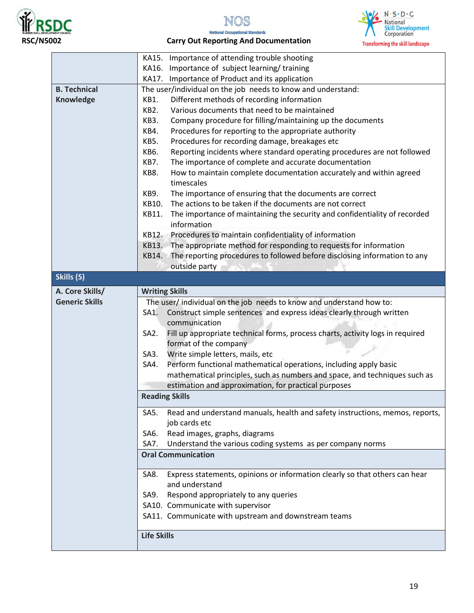



### **RSC/N5002 Carry Out Reporting And Documentation**



|                       | Importance of attending trouble shooting<br>KA15.                                                   |  |  |  |
|-----------------------|-----------------------------------------------------------------------------------------------------|--|--|--|
|                       | Importance of subject learning/training<br>KA16.                                                    |  |  |  |
|                       | Importance of Product and its application<br>KA17.                                                  |  |  |  |
| <b>B. Technical</b>   | The user/individual on the job needs to know and understand:                                        |  |  |  |
| Knowledge             | Different methods of recording information<br>KB1.                                                  |  |  |  |
|                       | <b>KB2.</b><br>Various documents that need to be maintained                                         |  |  |  |
|                       | KB3.<br>Company procedure for filling/maintaining up the documents                                  |  |  |  |
|                       | KB4.<br>Procedures for reporting to the appropriate authority                                       |  |  |  |
|                       | KB5.<br>Procedures for recording damage, breakages etc                                              |  |  |  |
|                       | <b>KB6.</b><br>Reporting incidents where standard operating procedures are not followed             |  |  |  |
|                       | KB7.<br>The importance of complete and accurate documentation                                       |  |  |  |
|                       | How to maintain complete documentation accurately and within agreed<br>KB8.                         |  |  |  |
|                       | timescales                                                                                          |  |  |  |
|                       | The importance of ensuring that the documents are correct<br>KB9.                                   |  |  |  |
|                       | The actions to be taken if the documents are not correct<br>KB10.                                   |  |  |  |
|                       | The importance of maintaining the security and confidentiality of recorded<br>KB11.                 |  |  |  |
|                       | information                                                                                         |  |  |  |
|                       | Procedures to maintain confidentiality of information<br>KB12.                                      |  |  |  |
|                       | The appropriate method for responding to requests for information<br>KB13.                          |  |  |  |
|                       | The reporting procedures to followed before disclosing information to any<br>KB14.                  |  |  |  |
|                       | outside party                                                                                       |  |  |  |
| Skills (S)            |                                                                                                     |  |  |  |
|                       |                                                                                                     |  |  |  |
| A. Core Skills/       | <b>Writing Skills</b>                                                                               |  |  |  |
| <b>Generic Skills</b> | The user/ individual on the job needs to know and understand how to:                                |  |  |  |
|                       | Construct simple sentences and express ideas clearly through written<br>SA1.                        |  |  |  |
|                       | communication                                                                                       |  |  |  |
|                       | Fill up appropriate technical forms, process charts, activity logs in required<br>SA <sub>2</sub> . |  |  |  |
|                       | format of the company                                                                               |  |  |  |
|                       | Write simple letters, mails, etc<br>SA3.                                                            |  |  |  |
|                       | Perform functional mathematical operations, including apply basic<br>SA4.                           |  |  |  |
|                       | mathematical principles, such as numbers and space, and techniques such as                          |  |  |  |
|                       | estimation and approximation, for practical purposes                                                |  |  |  |
|                       | <b>Reading Skills</b>                                                                               |  |  |  |
|                       | Read and understand manuals, health and safety instructions, memos, reports,<br>SA5.                |  |  |  |
|                       | job cards etc                                                                                       |  |  |  |
|                       | Read images, graphs, diagrams<br>SA6.                                                               |  |  |  |
|                       | Understand the various coding systems as per company norms<br>SA7.                                  |  |  |  |
|                       | <b>Oral Communication</b>                                                                           |  |  |  |
|                       |                                                                                                     |  |  |  |
|                       | Express statements, opinions or information clearly so that others can hear<br>SA8.                 |  |  |  |
|                       | and understand                                                                                      |  |  |  |
|                       | Respond appropriately to any queries<br>SA9.                                                        |  |  |  |
|                       | SA10. Communicate with supervisor                                                                   |  |  |  |
|                       | SA11. Communicate with upstream and downstream teams                                                |  |  |  |
|                       |                                                                                                     |  |  |  |
|                       | <b>Life Skills</b>                                                                                  |  |  |  |
|                       |                                                                                                     |  |  |  |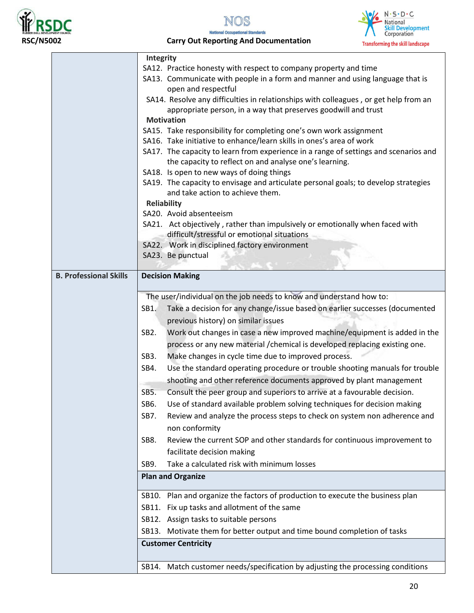





 **RSC/N5002 Carry Out Reporting And Documentation** 

|                               | Integrity<br>SA12. Practice honesty with respect to company property and time                                           |
|-------------------------------|-------------------------------------------------------------------------------------------------------------------------|
|                               | SA13. Communicate with people in a form and manner and using language that is                                           |
|                               | open and respectful                                                                                                     |
|                               | SA14. Resolve any difficulties in relationships with colleagues, or get help from an                                    |
|                               | appropriate person, in a way that preserves goodwill and trust                                                          |
|                               | <b>Motivation</b>                                                                                                       |
|                               | SA15. Take responsibility for completing one's own work assignment                                                      |
|                               | SA16. Take initiative to enhance/learn skills in ones's area of work                                                    |
|                               | SA17. The capacity to learn from experience in a range of settings and scenarios and                                    |
|                               | the capacity to reflect on and analyse one's learning.                                                                  |
|                               | SA18. Is open to new ways of doing things                                                                               |
|                               | SA19. The capacity to envisage and articulate personal goals; to develop strategies<br>and take action to achieve them. |
|                               | <b>Reliability</b>                                                                                                      |
|                               | SA20. Avoid absenteeism                                                                                                 |
|                               | SA21. Act objectively, rather than impulsively or emotionally when faced with                                           |
|                               | difficult/stressful or emotional situations                                                                             |
|                               | SA22. Work in disciplined factory environment                                                                           |
|                               | SA23. Be punctual                                                                                                       |
|                               |                                                                                                                         |
| <b>B. Professional Skills</b> | <b>Decision Making</b>                                                                                                  |
|                               |                                                                                                                         |
|                               | The user/individual on the job needs to know and understand how to:                                                     |
|                               | Take a decision for any change/issue based on earlier successes (documented<br>SB1.                                     |
|                               | previous history) on similar issues                                                                                     |
|                               | Work out changes in case a new improved machine/equipment is added in the<br>SB <sub>2</sub> .                          |
|                               | process or any new material / chemical is developed replacing existing one.                                             |
|                               | Make changes in cycle time due to improved process.<br>SB <sub>3</sub> .                                                |
|                               | Use the standard operating procedure or trouble shooting manuals for trouble<br>SB4.                                    |
|                               | shooting and other reference documents approved by plant management                                                     |
|                               | Consult the peer group and superiors to arrive at a favourable decision.<br>SB5.                                        |
|                               | Use of standard available problem solving techniques for decision making<br>SB6.                                        |
|                               | Review and analyze the process steps to check on system non adherence and<br>SB7.                                       |
|                               | non conformity                                                                                                          |
|                               | Review the current SOP and other standards for continuous improvement to<br>SB8.                                        |
|                               |                                                                                                                         |
|                               | facilitate decision making<br>Take a calculated risk with minimum losses                                                |
|                               | SB9.                                                                                                                    |
|                               | <b>Plan and Organize</b>                                                                                                |
|                               | SB10. Plan and organize the factors of production to execute the business plan                                          |
|                               | SB11. Fix up tasks and allotment of the same                                                                            |
|                               | SB12. Assign tasks to suitable persons                                                                                  |
|                               | SB13. Motivate them for better output and time bound completion of tasks                                                |
|                               | <b>Customer Centricity</b>                                                                                              |
|                               |                                                                                                                         |
|                               | SB14. Match customer needs/specification by adjusting the processing conditions                                         |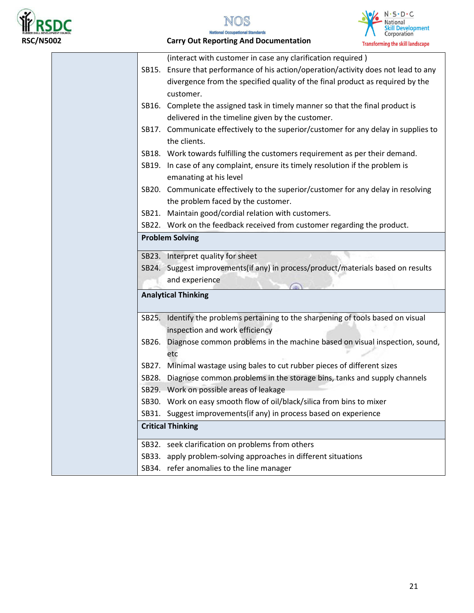





 **RSC/N5002 Carry Out Reporting And Documentation** 

|       | (interact with customer in case any clarification required)                         |
|-------|-------------------------------------------------------------------------------------|
| SB15. | Ensure that performance of his action/operation/activity does not lead to any       |
|       | divergence from the specified quality of the final product as required by the       |
|       | customer.                                                                           |
|       | SB16. Complete the assigned task in timely manner so that the final product is      |
|       | delivered in the timeline given by the customer.                                    |
|       | SB17. Communicate effectively to the superior/customer for any delay in supplies to |
|       | the clients.                                                                        |
|       | SB18. Work towards fulfilling the customers requirement as per their demand.        |
|       | SB19. In case of any complaint, ensure its timely resolution if the problem is      |
|       | emanating at his level                                                              |
|       | SB20. Communicate effectively to the superior/customer for any delay in resolving   |
|       | the problem faced by the customer.                                                  |
|       | SB21. Maintain good/cordial relation with customers.                                |
|       | SB22. Work on the feedback received from customer regarding the product.            |
|       | <b>Problem Solving</b>                                                              |
|       | SB23. Interpret quality for sheet                                                   |
|       | SB24. Suggest improvements(if any) in process/product/materials based on results    |
|       | and experience                                                                      |
|       | <b>Analytical Thinking</b>                                                          |
|       | SB25. Identify the problems pertaining to the sharpening of tools based on visual   |
|       | inspection and work efficiency                                                      |
| SB26. | Diagnose common problems in the machine based on visual inspection, sound,          |
|       | etc                                                                                 |
| SB27. | Minimal wastage using bales to cut rubber pieces of different sizes                 |
| SB28. | Diagnose common problems in the storage bins, tanks and supply channels             |
|       | SB29. Work on possible areas of leakage                                             |
|       | SB30. Work on easy smooth flow of oil/black/silica from bins to mixer               |
|       | SB31. Suggest improvements(if any) in process based on experience                   |
|       | <b>Critical Thinking</b>                                                            |
|       | SB32. seek clarification on problems from others                                    |
| SB33. |                                                                                     |
|       | apply problem-solving approaches in different situations                            |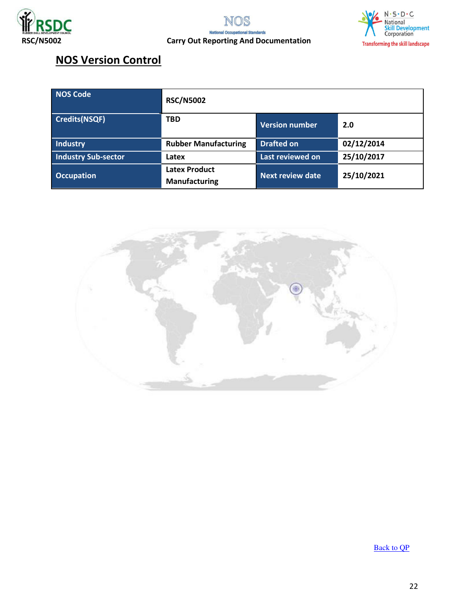





## **NOS Version Control**

| <b>NOS Code</b>            | <b>RSC/N5002</b>                             |                         |            |
|----------------------------|----------------------------------------------|-------------------------|------------|
| <b>Credits(NSQF)</b>       | <b>TBD</b>                                   | <b>Version number</b>   | 2.0        |
| Industry                   | <b>Rubber Manufacturing</b>                  | <b>Drafted on</b>       | 02/12/2014 |
| <b>Industry Sub-sector</b> | Latex                                        | Last reviewed on        | 25/10/2017 |
| <b>Occupation</b>          | <b>Latex Product</b><br><b>Manufacturing</b> | <b>Next review date</b> | 25/10/2021 |



[Back to QP](#page-1-0)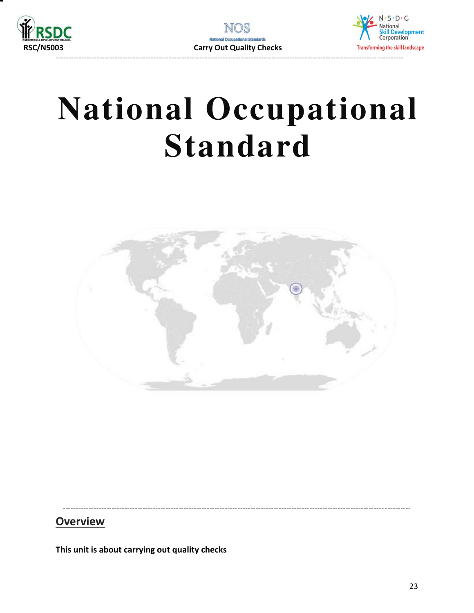



<span id="page-22-0"></span>

### **Overview**

This unit is about carrying out quality checks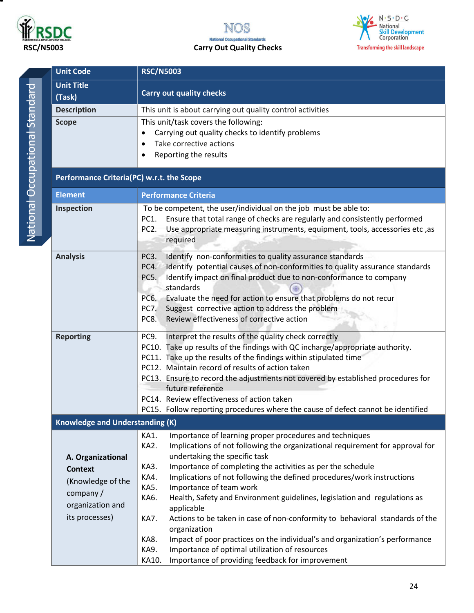





National Occupational Standard National Occupational Standard

| <b>Unit Code</b>                          | <b>RSC/N5003</b>                                                                                                         |  |  |  |
|-------------------------------------------|--------------------------------------------------------------------------------------------------------------------------|--|--|--|
|                                           |                                                                                                                          |  |  |  |
| <b>Unit Title</b>                         | <b>Carry out quality checks</b>                                                                                          |  |  |  |
| (Task)                                    |                                                                                                                          |  |  |  |
| <b>Description</b>                        | This unit is about carrying out quality control activities                                                               |  |  |  |
| <b>Scope</b>                              | This unit/task covers the following:                                                                                     |  |  |  |
|                                           | Carrying out quality checks to identify problems<br>$\bullet$                                                            |  |  |  |
|                                           | Take corrective actions<br>$\bullet$                                                                                     |  |  |  |
|                                           | Reporting the results<br>٠                                                                                               |  |  |  |
| Performance Criteria(PC) w.r.t. the Scope |                                                                                                                          |  |  |  |
| <b>Element</b>                            | <b>Performance Criteria</b>                                                                                              |  |  |  |
| Inspection                                | To be competent, the user/individual on the job must be able to:                                                         |  |  |  |
|                                           | Ensure that total range of checks are regularly and consistently performed<br>PC1.                                       |  |  |  |
|                                           | Use appropriate measuring instruments, equipment, tools, accessories etc, as<br>PC2.                                     |  |  |  |
|                                           | required                                                                                                                 |  |  |  |
| <b>Analysis</b>                           | Identify non-conformities to quality assurance standards<br>PC3.                                                         |  |  |  |
|                                           | Identify potential causes of non-conformities to quality assurance standards<br>PC4.                                     |  |  |  |
|                                           | Identify impact on final product due to non-conformance to company<br>PC5.                                               |  |  |  |
|                                           | standards                                                                                                                |  |  |  |
|                                           | Evaluate the need for action to ensure that problems do not recur<br>PC6.                                                |  |  |  |
|                                           | Suggest corrective action to address the problem<br>PC7.                                                                 |  |  |  |
|                                           | Review effectiveness of corrective action<br>PC8.                                                                        |  |  |  |
| <b>Reporting</b>                          | Interpret the results of the quality check correctly<br>PC9.                                                             |  |  |  |
|                                           | PC10. Take up results of the findings with QC incharge/appropriate authority.                                            |  |  |  |
|                                           | PC11. Take up the results of the findings within stipulated time                                                         |  |  |  |
|                                           | PC12. Maintain record of results of action taken                                                                         |  |  |  |
|                                           | PC13. Ensure to record the adjustments not covered by established procedures for                                         |  |  |  |
|                                           | future reference                                                                                                         |  |  |  |
|                                           | PC14. Review effectiveness of action taken                                                                               |  |  |  |
|                                           | PC15. Follow reporting procedures where the cause of defect cannot be identified                                         |  |  |  |
| <b>Knowledge and Understanding (K)</b>    |                                                                                                                          |  |  |  |
|                                           | Importance of learning proper procedures and techniques<br>KA1.                                                          |  |  |  |
|                                           | KA2.<br>Implications of not following the organizational requirement for approval for                                    |  |  |  |
| A. Organizational                         | undertaking the specific task                                                                                            |  |  |  |
| <b>Context</b>                            | Importance of completing the activities as per the schedule<br>KA3.                                                      |  |  |  |
| (Knowledge of the                         | Implications of not following the defined procedures/work instructions<br>KA4.<br>Importance of team work<br><b>KA5.</b> |  |  |  |
| company /                                 | Health, Safety and Environment guidelines, legislation and regulations as<br>KA6.                                        |  |  |  |
| organization and                          | applicable                                                                                                               |  |  |  |
| its processes)                            | Actions to be taken in case of non-conformity to behavioral standards of the<br>KA7.                                     |  |  |  |
|                                           | organization                                                                                                             |  |  |  |
|                                           | Impact of poor practices on the individual's and organization's performance<br>KA8.                                      |  |  |  |
|                                           | Importance of optimal utilization of resources<br>KA9.                                                                   |  |  |  |
|                                           | Importance of providing feedback for improvement<br>KA10.                                                                |  |  |  |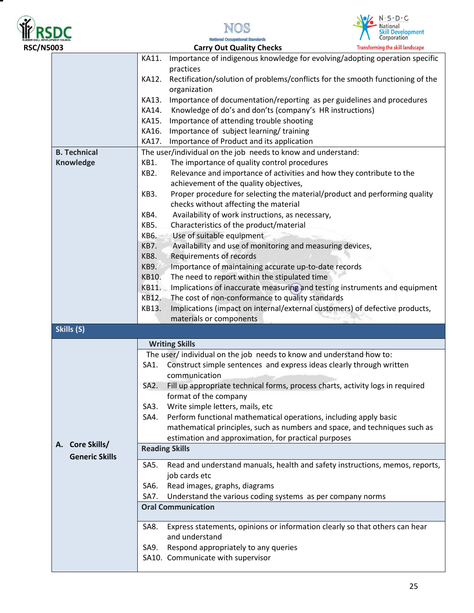





| <b>RSC/N5003</b> |                           |                                                    | <b>Carry Out Quality Checks</b>                                                                | <b>Transforming the skill landscape</b> |  |  |
|------------------|---------------------------|----------------------------------------------------|------------------------------------------------------------------------------------------------|-----------------------------------------|--|--|
|                  |                           | KA11.                                              | Importance of indigenous knowledge for evolving/adopting operation specific<br>practices       |                                         |  |  |
|                  |                           | KA12.                                              | Rectification/solution of problems/conflicts for the smooth functioning of the<br>organization |                                         |  |  |
|                  |                           | KA13.                                              | Importance of documentation/reporting as per guidelines and procedures                         |                                         |  |  |
|                  |                           | KA14.                                              | Knowledge of do's and don'ts (company's HR instructions)                                       |                                         |  |  |
|                  |                           | KA15.                                              | Importance of attending trouble shooting                                                       |                                         |  |  |
|                  |                           | KA16.                                              | Importance of subject learning/training                                                        |                                         |  |  |
|                  |                           | KA17.<br>Importance of Product and its application |                                                                                                |                                         |  |  |
|                  | <b>B. Technical</b>       |                                                    | The user/individual on the job needs to know and understand:                                   |                                         |  |  |
|                  | Knowledge                 | KB1.                                               | The importance of quality control procedures                                                   |                                         |  |  |
|                  |                           | KB <sub>2</sub> .                                  | Relevance and importance of activities and how they contribute to the                          |                                         |  |  |
|                  |                           |                                                    | achievement of the quality objectives,                                                         |                                         |  |  |
|                  |                           | KB3.                                               | Proper procedure for selecting the material/product and performing quality                     |                                         |  |  |
|                  |                           |                                                    | checks without affecting the material                                                          |                                         |  |  |
|                  |                           | KB4.                                               | Availability of work instructions, as necessary,                                               |                                         |  |  |
|                  |                           | KB5.                                               | Characteristics of the product/material                                                        |                                         |  |  |
|                  |                           | KB6.                                               | Use of suitable equipment                                                                      |                                         |  |  |
|                  |                           | <b>KB7.</b>                                        | Availability and use of monitoring and measuring devices,                                      |                                         |  |  |
|                  |                           | KB8.                                               | Requirements of records                                                                        |                                         |  |  |
|                  |                           | <b>KB9.</b>                                        | Importance of maintaining accurate up-to-date records                                          |                                         |  |  |
|                  |                           | KB10.                                              | The need to report within the stipulated time                                                  |                                         |  |  |
|                  |                           | KB11.                                              | Implications of inaccurate measuring and testing instruments and equipment                     |                                         |  |  |
|                  |                           | KB12.                                              | The cost of non-conformance to quality standards                                               |                                         |  |  |
|                  |                           | KB13.                                              | Implications (impact on internal/external customers) of defective products,                    |                                         |  |  |
|                  |                           |                                                    | materials or components                                                                        |                                         |  |  |
|                  | Skills (S)                |                                                    |                                                                                                |                                         |  |  |
|                  |                           |                                                    | <b>Writing Skills</b>                                                                          |                                         |  |  |
|                  |                           |                                                    | The user/individual on the job needs to know and understand how to:                            |                                         |  |  |
|                  |                           | SA1.                                               | Construct simple sentences and express ideas clearly through written                           |                                         |  |  |
|                  |                           |                                                    | communication                                                                                  |                                         |  |  |
|                  |                           | SA <sub>2</sub> .                                  | Fill up appropriate technical forms, process charts, activity logs in required                 |                                         |  |  |
|                  |                           |                                                    | format of the company                                                                          |                                         |  |  |
|                  |                           | SA3.                                               | Write simple letters, mails, etc                                                               |                                         |  |  |
|                  |                           | SA4.                                               | Perform functional mathematical operations, including apply basic                              |                                         |  |  |
|                  |                           |                                                    | mathematical principles, such as numbers and space, and techniques such as                     |                                         |  |  |
|                  |                           |                                                    | estimation and approximation, for practical purposes                                           |                                         |  |  |
|                  | <b>Core Skills/</b><br>А. |                                                    | <b>Reading Skills</b>                                                                          |                                         |  |  |
|                  | <b>Generic Skills</b>     | SA5.                                               | Read and understand manuals, health and safety instructions, memos, reports,                   |                                         |  |  |
|                  |                           |                                                    | job cards etc                                                                                  |                                         |  |  |
|                  |                           | SA6.                                               | Read images, graphs, diagrams                                                                  |                                         |  |  |
|                  |                           | SA7.                                               | Understand the various coding systems as per company norms                                     |                                         |  |  |
|                  |                           |                                                    | <b>Oral Communication</b>                                                                      |                                         |  |  |
|                  |                           | SA8.                                               | Express statements, opinions or information clearly so that others can hear                    |                                         |  |  |
|                  |                           |                                                    | and understand                                                                                 |                                         |  |  |
|                  |                           | SA9.                                               | Respond appropriately to any queries                                                           |                                         |  |  |
|                  |                           |                                                    | SA10. Communicate with supervisor                                                              |                                         |  |  |
|                  |                           |                                                    |                                                                                                |                                         |  |  |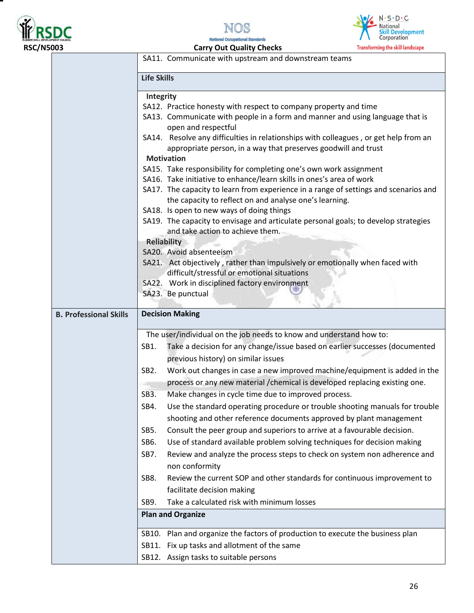





| <b>RSC/N5003</b>              | <b>Carry Out Quality Checks</b><br><b>Transforming the skill landscape</b>                     |  |  |  |
|-------------------------------|------------------------------------------------------------------------------------------------|--|--|--|
|                               | SA11. Communicate with upstream and downstream teams                                           |  |  |  |
|                               |                                                                                                |  |  |  |
|                               | <b>Life Skills</b>                                                                             |  |  |  |
|                               | Integrity                                                                                      |  |  |  |
|                               | SA12. Practice honesty with respect to company property and time                               |  |  |  |
|                               | SA13. Communicate with people in a form and manner and using language that is                  |  |  |  |
|                               | open and respectful                                                                            |  |  |  |
|                               | SA14. Resolve any difficulties in relationships with colleagues, or get help from an           |  |  |  |
|                               | appropriate person, in a way that preserves goodwill and trust                                 |  |  |  |
|                               | <b>Motivation</b><br>SA15. Take responsibility for completing one's own work assignment        |  |  |  |
|                               | SA16. Take initiative to enhance/learn skills in ones's area of work                           |  |  |  |
|                               | SA17. The capacity to learn from experience in a range of settings and scenarios and           |  |  |  |
|                               | the capacity to reflect on and analyse one's learning.                                         |  |  |  |
|                               | SA18. Is open to new ways of doing things                                                      |  |  |  |
|                               | SA19. The capacity to envisage and articulate personal goals; to develop strategies            |  |  |  |
|                               | and take action to achieve them.                                                               |  |  |  |
|                               | <b>Reliability</b>                                                                             |  |  |  |
|                               | SA20. Avoid absenteeism                                                                        |  |  |  |
|                               | SA21. Act objectively, rather than impulsively or emotionally when faced with                  |  |  |  |
|                               | difficult/stressful or emotional situations<br>SA22. Work in disciplined factory environment   |  |  |  |
|                               | SA23. Be punctual                                                                              |  |  |  |
|                               |                                                                                                |  |  |  |
| <b>B. Professional Skills</b> | <b>Decision Making</b>                                                                         |  |  |  |
|                               |                                                                                                |  |  |  |
|                               | The user/individual on the job needs to know and understand how to:                            |  |  |  |
|                               | Take a decision for any change/issue based on earlier successes (documented<br>SB1.            |  |  |  |
|                               | previous history) on similar issues                                                            |  |  |  |
|                               | Work out changes in case a new improved machine/equipment is added in the<br>SB <sub>2</sub> . |  |  |  |
|                               | process or any new material / chemical is developed replacing existing one.                    |  |  |  |
|                               | SB <sub>3</sub> .<br>Make changes in cycle time due to improved process.                       |  |  |  |
|                               | Use the standard operating procedure or trouble shooting manuals for trouble<br>SB4.           |  |  |  |
|                               | shooting and other reference documents approved by plant management                            |  |  |  |
|                               | Consult the peer group and superiors to arrive at a favourable decision.<br>SB5.               |  |  |  |
|                               | Use of standard available problem solving techniques for decision making<br>SB6.               |  |  |  |
|                               | Review and analyze the process steps to check on system non adherence and<br>SB7.              |  |  |  |
|                               | non conformity                                                                                 |  |  |  |
|                               | SB8.<br>Review the current SOP and other standards for continuous improvement to               |  |  |  |
|                               | facilitate decision making                                                                     |  |  |  |
|                               | Take a calculated risk with minimum losses<br>SB9.                                             |  |  |  |
|                               | <b>Plan and Organize</b>                                                                       |  |  |  |
|                               |                                                                                                |  |  |  |
|                               | SB10. Plan and organize the factors of production to execute the business plan                 |  |  |  |
|                               | SB11. Fix up tasks and allotment of the same                                                   |  |  |  |
|                               | SB12. Assign tasks to suitable persons                                                         |  |  |  |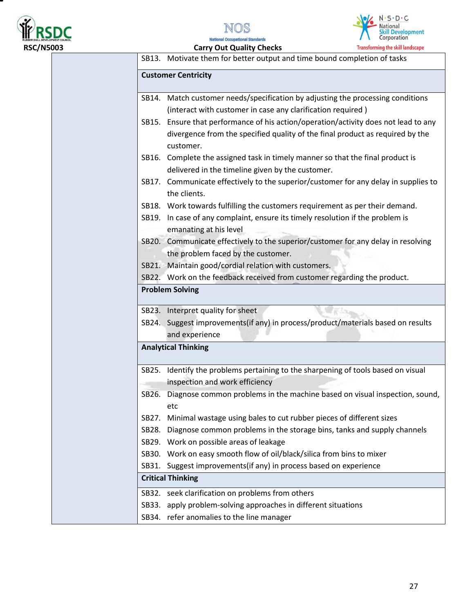

Ξ





**National Occupational Standards** 

|       | SB13. Motivate them for better output and time bound completion of tasks                                                                                                          |
|-------|-----------------------------------------------------------------------------------------------------------------------------------------------------------------------------------|
|       | <b>Customer Centricity</b>                                                                                                                                                        |
|       | SB14. Match customer needs/specification by adjusting the processing conditions                                                                                                   |
|       | (interact with customer in case any clarification required)                                                                                                                       |
|       | SB15. Ensure that performance of his action/operation/activity does not lead to any<br>divergence from the specified quality of the final product as required by the<br>customer. |
|       | SB16. Complete the assigned task in timely manner so that the final product is                                                                                                    |
|       | delivered in the timeline given by the customer.                                                                                                                                  |
|       | SB17. Communicate effectively to the superior/customer for any delay in supplies to<br>the clients.                                                                               |
|       | SB18. Work towards fulfilling the customers requirement as per their demand.                                                                                                      |
|       | SB19. In case of any complaint, ensure its timely resolution if the problem is<br>emanating at his level                                                                          |
|       | SB20. Communicate effectively to the superior/customer for any delay in resolving<br>the problem faced by the customer.                                                           |
|       | SB21. Maintain good/cordial relation with customers.                                                                                                                              |
|       | SB22. Work on the feedback received from customer regarding the product.                                                                                                          |
|       | <b>Problem Solving</b>                                                                                                                                                            |
|       | SB23. Interpret quality for sheet                                                                                                                                                 |
|       | SB24. Suggest improvements(if any) in process/product/materials based on results                                                                                                  |
|       | and experience                                                                                                                                                                    |
|       | <b>Analytical Thinking</b>                                                                                                                                                        |
| SB25. | Identify the problems pertaining to the sharpening of tools based on visual<br>inspection and work efficiency                                                                     |
|       | SB26. Diagnose common problems in the machine based on visual inspection, sound,<br>etc                                                                                           |
| SB27. | Minimal wastage using bales to cut rubber pieces of different sizes                                                                                                               |
|       | SB28. Diagnose common problems in the storage bins, tanks and supply channels                                                                                                     |
|       | SB29. Work on possible areas of leakage                                                                                                                                           |
|       | SB30. Work on easy smooth flow of oil/black/silica from bins to mixer                                                                                                             |
|       | SB31. Suggest improvements (if any) in process based on experience                                                                                                                |
|       | <b>Critical Thinking</b>                                                                                                                                                          |
|       | SB32. seek clarification on problems from others                                                                                                                                  |
|       | SB33. apply problem-solving approaches in different situations                                                                                                                    |
|       | SB34. refer anomalies to the line manager                                                                                                                                         |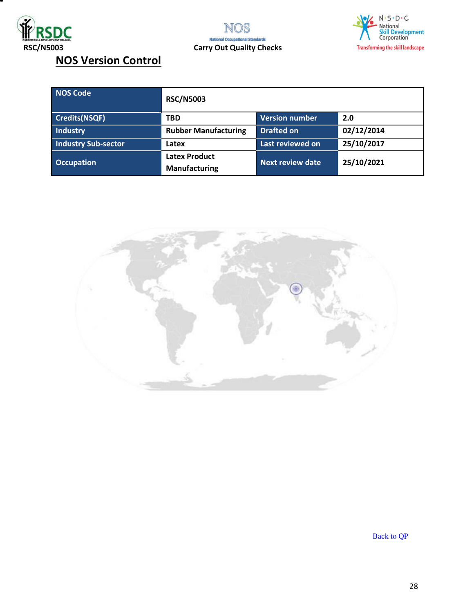





## **NOS Version Control**

| NOS Code                   | <b>RSC/N5003</b>                             |                   |            |  |
|----------------------------|----------------------------------------------|-------------------|------------|--|
| <b>Credits(NSQF)</b>       | <b>TBD</b>                                   | 2.0               |            |  |
| Industry                   | <b>Rubber Manufacturing</b>                  | <b>Drafted on</b> | 02/12/2014 |  |
| <b>Industry Sub-sector</b> | Latex                                        | Last reviewed on  | 25/10/2017 |  |
| <b>Occupation</b>          | <b>Latex Product</b><br><b>Manufacturing</b> | Next review date  | 25/10/2021 |  |



**[Back to QP](#page-1-0)**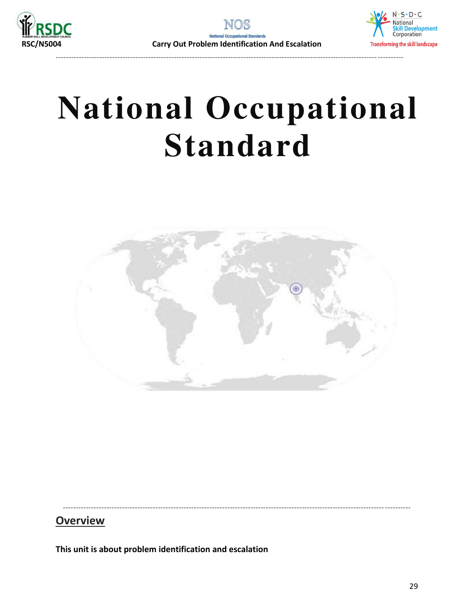

----------------------------------------------------------------------------------------------------------------------------- ----------



## **National Occupational Standard**



<span id="page-28-0"></span>----------------------------------------------------------------------------------------------------------------------------- ----------

### **Overview**

**This unit is about problem identification and escalation**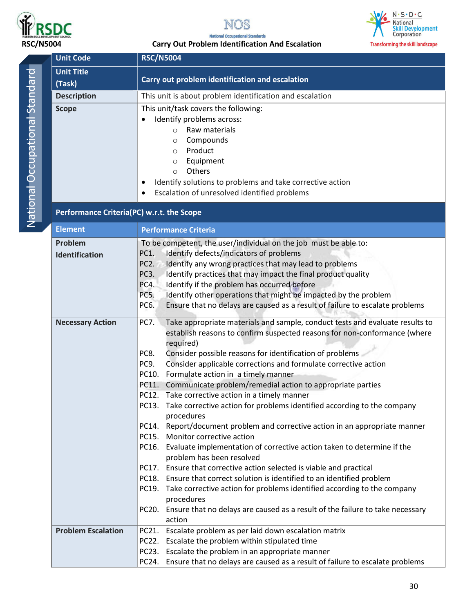





#### **RSC/N5004 Carry Out Problem Identification And Escalation**

| <b>Unit Code</b>                          | <b>,,,,,,,,,,,,,,,,,,,,,,,,,,,,</b><br><b>RSC/N5004</b>                                                                                                    |  |
|-------------------------------------------|------------------------------------------------------------------------------------------------------------------------------------------------------------|--|
| <b>Unit Title</b>                         |                                                                                                                                                            |  |
| (Task)                                    | Carry out problem identification and escalation                                                                                                            |  |
| <b>Description</b>                        | This unit is about problem identification and escalation                                                                                                   |  |
| <b>Scope</b>                              | This unit/task covers the following:                                                                                                                       |  |
|                                           | Identify problems across:                                                                                                                                  |  |
|                                           | Raw materials<br>$\circ$                                                                                                                                   |  |
|                                           | Compounds<br>$\circ$                                                                                                                                       |  |
|                                           | Product<br>$\circ$                                                                                                                                         |  |
|                                           | Equipment<br>O                                                                                                                                             |  |
|                                           | Others<br>$\circ$                                                                                                                                          |  |
|                                           | Identify solutions to problems and take corrective action<br>Escalation of unresolved identified problems                                                  |  |
|                                           |                                                                                                                                                            |  |
| Performance Criteria(PC) w.r.t. the Scope |                                                                                                                                                            |  |
| <b>Element</b>                            | <b>Performance Criteria</b>                                                                                                                                |  |
| Problem                                   | To be competent, the user/individual on the job must be able to:                                                                                           |  |
| Identification                            | Identify defects/indicators of problems<br>PC1.                                                                                                            |  |
|                                           | Identify any wrong practices that may lead to problems<br>PC <sub>2</sub> .                                                                                |  |
|                                           | <b>PC3.</b><br>Identify practices that may impact the final product quality                                                                                |  |
|                                           | PC4.<br>Identify if the problem has occurred before<br>Identify other operations that might be impacted by the problem<br>PC5.                             |  |
|                                           | Ensure that no delays are caused as a result of failure to escalate problems<br>PC6.                                                                       |  |
|                                           |                                                                                                                                                            |  |
| <b>Necessary Action</b>                   | Take appropriate materials and sample, conduct tests and evaluate results to<br>PC7.                                                                       |  |
|                                           | establish reasons to confirm suspected reasons for non-conformance (where                                                                                  |  |
|                                           | required)                                                                                                                                                  |  |
|                                           | Consider possible reasons for identification of problems<br>PC8.<br>Consider applicable corrections and formulate corrective action<br>PC9.                |  |
|                                           | PC10. Formulate action in a timely manner                                                                                                                  |  |
|                                           | PC11. Communicate problem/remedial action to appropriate parties                                                                                           |  |
|                                           | PC12. Take corrective action in a timely manner                                                                                                            |  |
|                                           | PC13. Take corrective action for problems identified according to the company                                                                              |  |
|                                           | procedures                                                                                                                                                 |  |
|                                           | PC14. Report/document problem and corrective action in an appropriate manner                                                                               |  |
|                                           | PC15. Monitor corrective action                                                                                                                            |  |
|                                           | PC16. Evaluate implementation of corrective action taken to determine if the                                                                               |  |
|                                           | problem has been resolved                                                                                                                                  |  |
|                                           | PC17. Ensure that corrective action selected is viable and practical                                                                                       |  |
|                                           | PC18. Ensure that correct solution is identified to an identified problem<br>PC19. Take corrective action for problems identified according to the company |  |
|                                           | procedures                                                                                                                                                 |  |
|                                           | PC20. Ensure that no delays are caused as a result of the failure to take necessary                                                                        |  |
|                                           | action                                                                                                                                                     |  |
| <b>Problem Escalation</b>                 | PC21. Escalate problem as per laid down escalation matrix                                                                                                  |  |
|                                           | PC22. Escalate the problem within stipulated time                                                                                                          |  |
|                                           | PC23. Escalate the problem in an appropriate manner                                                                                                        |  |
|                                           | PC24. Ensure that no delays are caused as a result of failure to escalate problems                                                                         |  |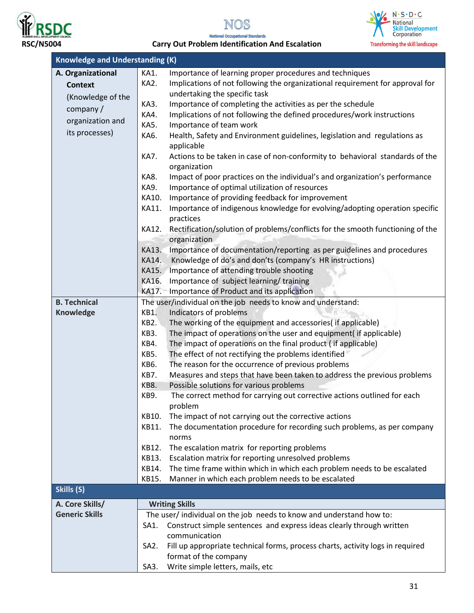





#### **RSC/N5004 Carry Out Problem Identification And Escalation**

| <b>Knowledge and Understanding (K)</b> |                                                                                                           |                                                                                              |  |  |
|----------------------------------------|-----------------------------------------------------------------------------------------------------------|----------------------------------------------------------------------------------------------|--|--|
| A. Organizational                      | KA1.                                                                                                      | Importance of learning proper procedures and techniques                                      |  |  |
| <b>Context</b>                         | KA2.                                                                                                      | Implications of not following the organizational requirement for approval for                |  |  |
| (Knowledge of the                      |                                                                                                           | undertaking the specific task                                                                |  |  |
| company/                               | KA3.                                                                                                      | Importance of completing the activities as per the schedule                                  |  |  |
|                                        | KA4.                                                                                                      | Implications of not following the defined procedures/work instructions                       |  |  |
| organization and                       | KA5.                                                                                                      | Importance of team work                                                                      |  |  |
| its processes)                         | KA6.                                                                                                      | Health, Safety and Environment guidelines, legislation and regulations as                    |  |  |
|                                        |                                                                                                           | applicable                                                                                   |  |  |
|                                        | <b>KA7.</b>                                                                                               | Actions to be taken in case of non-conformity to behavioral standards of the<br>organization |  |  |
|                                        | KA8.                                                                                                      | Impact of poor practices on the individual's and organization's performance                  |  |  |
|                                        | KA9.                                                                                                      | Importance of optimal utilization of resources                                               |  |  |
|                                        | KA10.                                                                                                     | Importance of providing feedback for improvement                                             |  |  |
|                                        | KA11.                                                                                                     | Importance of indigenous knowledge for evolving/adopting operation specific                  |  |  |
|                                        |                                                                                                           | practices                                                                                    |  |  |
|                                        | KA12.                                                                                                     | Rectification/solution of problems/conflicts for the smooth functioning of the               |  |  |
|                                        |                                                                                                           | organization                                                                                 |  |  |
|                                        | KA13.                                                                                                     | Importance of documentation/reporting as per guidelines and procedures                       |  |  |
|                                        | KA14.                                                                                                     | Knowledge of do's and don'ts (company's HR instructions)                                     |  |  |
|                                        | KA15.<br>KA16.                                                                                            | Importance of attending trouble shooting<br>Importance of subject learning/ training         |  |  |
|                                        | KA17.                                                                                                     |                                                                                              |  |  |
| <b>B. Technical</b>                    | Importance of Product and its application<br>The user/individual on the job needs to know and understand: |                                                                                              |  |  |
| Knowledge                              | Indicators of problems<br>KB1.                                                                            |                                                                                              |  |  |
|                                        | KB2.                                                                                                      | The working of the equipment and accessories( if applicable)                                 |  |  |
|                                        | KB3.                                                                                                      | The impact of operations on the user and equipment( if applicable)                           |  |  |
|                                        | KB4.                                                                                                      | The impact of operations on the final product (if applicable)                                |  |  |
|                                        | KB5.                                                                                                      | The effect of not rectifying the problems identified                                         |  |  |
|                                        | KB6.                                                                                                      | The reason for the occurrence of previous problems                                           |  |  |
|                                        | KB7.                                                                                                      | Measures and steps that have been taken to address the previous problems                     |  |  |
|                                        | KB8.                                                                                                      | Possible solutions for various problems                                                      |  |  |
|                                        | KB9.                                                                                                      | The correct method for carrying out corrective actions outlined for each                     |  |  |
|                                        |                                                                                                           | problem                                                                                      |  |  |
|                                        | KB10.                                                                                                     | The impact of not carrying out the corrective actions                                        |  |  |
|                                        | KB11.                                                                                                     | The documentation procedure for recording such problems, as per company                      |  |  |
|                                        |                                                                                                           | norms                                                                                        |  |  |
|                                        | KB12.                                                                                                     | The escalation matrix for reporting problems                                                 |  |  |
|                                        | KB13.                                                                                                     | Escalation matrix for reporting unresolved problems                                          |  |  |
|                                        | KB14.                                                                                                     | The time frame within which in which each problem needs to be escalated                      |  |  |
|                                        | KB15.                                                                                                     | Manner in which each problem needs to be escalated                                           |  |  |
| Skills (S)                             |                                                                                                           |                                                                                              |  |  |
| A. Core Skills/                        | <b>Writing Skills</b>                                                                                     |                                                                                              |  |  |
| <b>Generic Skills</b>                  |                                                                                                           | The user/individual on the job needs to know and understand how to:                          |  |  |
|                                        | SA1.                                                                                                      | Construct simple sentences and express ideas clearly through written                         |  |  |
|                                        |                                                                                                           | communication                                                                                |  |  |
|                                        | SA <sub>2</sub> .                                                                                         | Fill up appropriate technical forms, process charts, activity logs in required               |  |  |
|                                        |                                                                                                           | format of the company                                                                        |  |  |
|                                        | SA3.                                                                                                      | Write simple letters, mails, etc                                                             |  |  |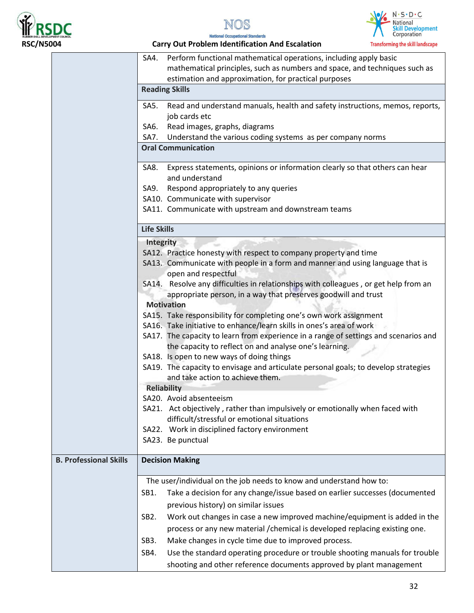





| SA4.                                                                                | Perform functional mathematical operations, including apply basic<br>mathematical principles, such as numbers and space, and techniques such as     |  |  |  |
|-------------------------------------------------------------------------------------|-----------------------------------------------------------------------------------------------------------------------------------------------------|--|--|--|
|                                                                                     | estimation and approximation, for practical purposes                                                                                                |  |  |  |
|                                                                                     | <b>Reading Skills</b>                                                                                                                               |  |  |  |
| SA5.                                                                                | Read and understand manuals, health and safety instructions, memos, reports,                                                                        |  |  |  |
|                                                                                     | job cards etc                                                                                                                                       |  |  |  |
| SA6.                                                                                | Read images, graphs, diagrams                                                                                                                       |  |  |  |
|                                                                                     | Understand the various coding systems as per company norms<br>SA7.                                                                                  |  |  |  |
|                                                                                     | <b>Oral Communication</b>                                                                                                                           |  |  |  |
| SA8.                                                                                | Express statements, opinions or information clearly so that others can hear<br>and understand                                                       |  |  |  |
| SA9.                                                                                | Respond appropriately to any queries                                                                                                                |  |  |  |
|                                                                                     | SA10. Communicate with supervisor                                                                                                                   |  |  |  |
|                                                                                     | SA11. Communicate with upstream and downstream teams                                                                                                |  |  |  |
|                                                                                     | <b>Life Skills</b>                                                                                                                                  |  |  |  |
|                                                                                     | <b>Integrity</b>                                                                                                                                    |  |  |  |
|                                                                                     | SA12. Practice honesty with respect to company property and time                                                                                    |  |  |  |
|                                                                                     | SA13. Communicate with people in a form and manner and using language that is                                                                       |  |  |  |
|                                                                                     | open and respectful                                                                                                                                 |  |  |  |
|                                                                                     | SA14. Resolve any difficulties in relationships with colleagues, or get help from an                                                                |  |  |  |
| appropriate person, in a way that preserves goodwill and trust<br><b>Motivation</b> |                                                                                                                                                     |  |  |  |
|                                                                                     | SA15. Take responsibility for completing one's own work assignment                                                                                  |  |  |  |
|                                                                                     | SA16. Take initiative to enhance/learn skills in ones's area of work                                                                                |  |  |  |
|                                                                                     | SA17. The capacity to learn from experience in a range of settings and scenarios and                                                                |  |  |  |
|                                                                                     | the capacity to reflect on and analyse one's learning.                                                                                              |  |  |  |
|                                                                                     | SA18. Is open to new ways of doing things                                                                                                           |  |  |  |
|                                                                                     | SA19. The capacity to envisage and articulate personal goals; to develop strategies                                                                 |  |  |  |
|                                                                                     | and take action to achieve them.                                                                                                                    |  |  |  |
|                                                                                     | <b>Reliability</b>                                                                                                                                  |  |  |  |
|                                                                                     | SA20. Avoid absenteeism                                                                                                                             |  |  |  |
|                                                                                     | SA21. Act objectively, rather than impulsively or emotionally when faced with                                                                       |  |  |  |
|                                                                                     | difficult/stressful or emotional situations                                                                                                         |  |  |  |
|                                                                                     | SA22. Work in disciplined factory environment                                                                                                       |  |  |  |
|                                                                                     | SA23. Be punctual                                                                                                                                   |  |  |  |
| <b>B. Professional Skills</b>                                                       | <b>Decision Making</b>                                                                                                                              |  |  |  |
|                                                                                     |                                                                                                                                                     |  |  |  |
|                                                                                     | The user/individual on the job needs to know and understand how to:                                                                                 |  |  |  |
| SB1.                                                                                | Take a decision for any change/issue based on earlier successes (documented                                                                         |  |  |  |
|                                                                                     | previous history) on similar issues                                                                                                                 |  |  |  |
| SB <sub>2</sub> .                                                                   | Work out changes in case a new improved machine/equipment is added in the                                                                           |  |  |  |
|                                                                                     | process or any new material / chemical is developed replacing existing one.                                                                         |  |  |  |
| SB <sub>3</sub> .                                                                   | Make changes in cycle time due to improved process.                                                                                                 |  |  |  |
| SB4.                                                                                | Use the standard operating procedure or trouble shooting manuals for trouble<br>shooting and other reference documents approved by plant management |  |  |  |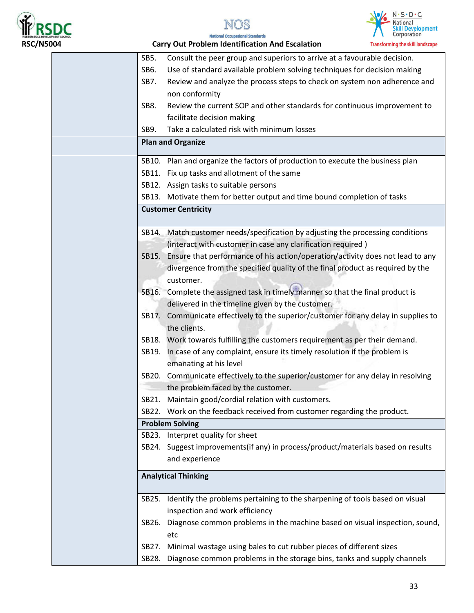





| SB5.  | Consult the peer group and superiors to arrive at a favourable decision.            |
|-------|-------------------------------------------------------------------------------------|
| SB6.  | Use of standard available problem solving techniques for decision making            |
| SB7.  | Review and analyze the process steps to check on system non adherence and           |
|       | non conformity                                                                      |
| SB8.  | Review the current SOP and other standards for continuous improvement to            |
|       | facilitate decision making                                                          |
| SB9.  | Take a calculated risk with minimum losses                                          |
|       | <b>Plan and Organize</b>                                                            |
|       | SB10. Plan and organize the factors of production to execute the business plan      |
|       | SB11. Fix up tasks and allotment of the same                                        |
|       | SB12. Assign tasks to suitable persons                                              |
|       | SB13. Motivate them for better output and time bound completion of tasks            |
|       | <b>Customer Centricity</b>                                                          |
|       |                                                                                     |
|       | SB14. Match customer needs/specification by adjusting the processing conditions     |
|       | (interact with customer in case any clarification required)                         |
| SB15. | Ensure that performance of his action/operation/activity does not lead to any       |
|       | divergence from the specified quality of the final product as required by the       |
|       | customer.                                                                           |
|       | SB16. Complete the assigned task in timely manner so that the final product is      |
|       | delivered in the timeline given by the customer.                                    |
|       | SB17. Communicate effectively to the superior/customer for any delay in supplies to |
|       | the clients.                                                                        |
|       | SB18. Work towards fulfilling the customers requirement as per their demand.        |
| SB19. | In case of any complaint, ensure its timely resolution if the problem is            |
|       | emanating at his level                                                              |
|       | SB20. Communicate effectively to the superior/customer for any delay in resolving   |
|       | the problem faced by the customer.                                                  |
|       | SB21. Maintain good/cordial relation with customers.                                |
| SB22. | Work on the feedback received from customer regarding the product.                  |
|       | <b>Problem Solving</b>                                                              |
|       | SB23. Interpret quality for sheet                                                   |
|       | SB24. Suggest improvements(if any) in process/product/materials based on results    |
|       | and experience                                                                      |
|       |                                                                                     |
|       | <b>Analytical Thinking</b>                                                          |
| SB25. | Identify the problems pertaining to the sharpening of tools based on visual         |
|       | inspection and work efficiency                                                      |
| SB26. | Diagnose common problems in the machine based on visual inspection, sound,          |
|       | etc                                                                                 |
| SB27. | Minimal wastage using bales to cut rubber pieces of different sizes                 |
|       | SB28. Diagnose common problems in the storage bins, tanks and supply channels       |
|       |                                                                                     |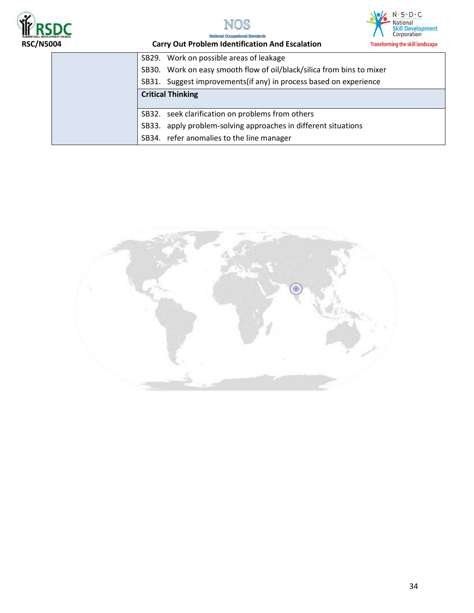





| SB29. Work on possible areas of leakage                               |  |
|-----------------------------------------------------------------------|--|
| SB30. Work on easy smooth flow of oil/black/silica from bins to mixer |  |
| SB31. Suggest improvements (if any) in process based on experience    |  |
| <b>Critical Thinking</b>                                              |  |
|                                                                       |  |
| SB32. seek clarification on problems from others                      |  |
| SB33. apply problem-solving approaches in different situations        |  |
| SB34. refer anomalies to the line manager                             |  |

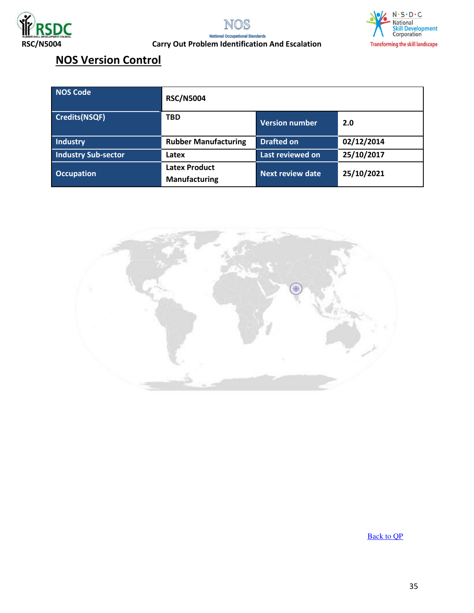





## **NOS Version Control**

| <b>NOS Code</b>            | <b>RSC/N5004</b>                             |                       |            |
|----------------------------|----------------------------------------------|-----------------------|------------|
| <b>Credits(NSQF)</b>       | <b>TBD</b>                                   | <b>Version number</b> | 2.0        |
| <b>Industry</b>            | <b>Rubber Manufacturing</b>                  | <b>Drafted on</b>     | 02/12/2014 |
| <b>Industry Sub-sector</b> | Latex                                        | Last reviewed on      | 25/10/2017 |
| <b>Occupation</b>          | <b>Latex Product</b><br><b>Manufacturing</b> | Next review date      | 25/10/2021 |



[Back to QP](#page-1-0)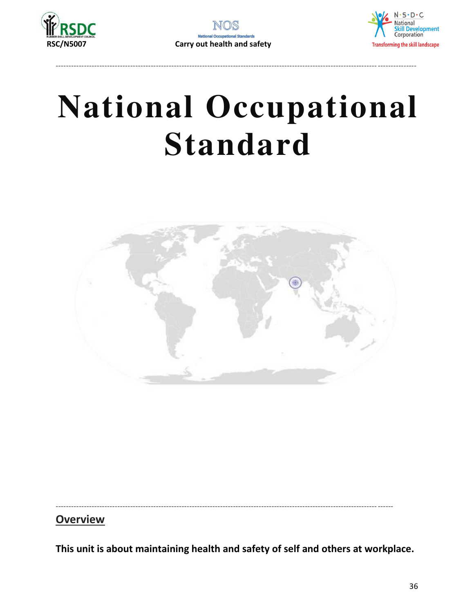



----------------------------------------------------------------------------------------------------------------------------- ---------------



<span id="page-35-0"></span>----------------------------------------------------------------------------------------------------------------------------- ------

**Overview** 

**This unit is about maintaining health and safety of self and others at workplace.**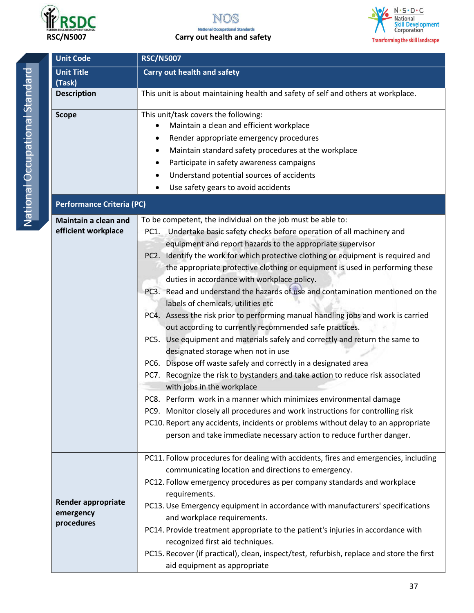





| <b>Unit Code</b>                                     | <b>RSC/N5007</b>                                                                                                                                                                                                                                                                                                                                                                                                                                                                                                                                                                                                                                                                                                                                                                                                                                                                                                                                                                                                                                                                                                                                                                                                                                                                                                                    |  |  |
|------------------------------------------------------|-------------------------------------------------------------------------------------------------------------------------------------------------------------------------------------------------------------------------------------------------------------------------------------------------------------------------------------------------------------------------------------------------------------------------------------------------------------------------------------------------------------------------------------------------------------------------------------------------------------------------------------------------------------------------------------------------------------------------------------------------------------------------------------------------------------------------------------------------------------------------------------------------------------------------------------------------------------------------------------------------------------------------------------------------------------------------------------------------------------------------------------------------------------------------------------------------------------------------------------------------------------------------------------------------------------------------------------|--|--|
| <b>Unit Title</b><br>(Task)                          | <b>Carry out health and safety</b>                                                                                                                                                                                                                                                                                                                                                                                                                                                                                                                                                                                                                                                                                                                                                                                                                                                                                                                                                                                                                                                                                                                                                                                                                                                                                                  |  |  |
| <b>Description</b>                                   | This unit is about maintaining health and safety of self and others at workplace.                                                                                                                                                                                                                                                                                                                                                                                                                                                                                                                                                                                                                                                                                                                                                                                                                                                                                                                                                                                                                                                                                                                                                                                                                                                   |  |  |
| <b>Scope</b>                                         | This unit/task covers the following:<br>Maintain a clean and efficient workplace<br>Render appropriate emergency procedures<br>٠<br>Maintain standard safety procedures at the workplace<br>$\bullet$<br>Participate in safety awareness campaigns<br>٠<br>Understand potential sources of accidents<br>$\bullet$<br>Use safety gears to avoid accidents                                                                                                                                                                                                                                                                                                                                                                                                                                                                                                                                                                                                                                                                                                                                                                                                                                                                                                                                                                            |  |  |
| <b>Performance Criteria (PC)</b>                     |                                                                                                                                                                                                                                                                                                                                                                                                                                                                                                                                                                                                                                                                                                                                                                                                                                                                                                                                                                                                                                                                                                                                                                                                                                                                                                                                     |  |  |
| <b>Maintain a clean and</b><br>efficient workplace   | To be competent, the individual on the job must be able to:<br>PC1. Undertake basic safety checks before operation of all machinery and<br>equipment and report hazards to the appropriate supervisor<br>Identify the work for which protective clothing or equipment is required and<br>PC2.<br>the appropriate protective clothing or equipment is used in performing these<br>duties in accordance with workplace policy.<br>PC3. Read and understand the hazards of use and contamination mentioned on the<br>labels of chemicals, utilities etc<br>PC4. Assess the risk prior to performing manual handling jobs and work is carried<br>out according to currently recommended safe practices.<br>PC5. Use equipment and materials safely and correctly and return the same to<br>designated storage when not in use<br>PC6. Dispose off waste safely and correctly in a designated area<br>PC7. Recognize the risk to bystanders and take action to reduce risk associated<br>with jobs in the workplace<br>PC8. Perform work in a manner which minimizes environmental damage<br>PC9. Monitor closely all procedures and work instructions for controlling risk<br>PC10. Report any accidents, incidents or problems without delay to an appropriate<br>person and take immediate necessary action to reduce further danger. |  |  |
| <b>Render appropriate</b><br>emergency<br>procedures | PC11. Follow procedures for dealing with accidents, fires and emergencies, including<br>communicating location and directions to emergency.<br>PC12. Follow emergency procedures as per company standards and workplace<br>requirements.<br>PC13. Use Emergency equipment in accordance with manufacturers' specifications<br>and workplace requirements.<br>PC14. Provide treatment appropriate to the patient's injuries in accordance with<br>recognized first aid techniques.<br>PC15. Recover (if practical), clean, inspect/test, refurbish, replace and store the first<br>aid equipment as appropriate                                                                                                                                                                                                                                                                                                                                                                                                                                                                                                                                                                                                                                                                                                                      |  |  |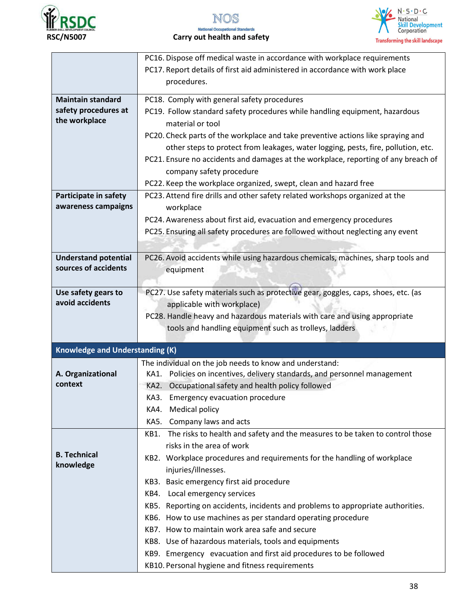





 **RSC/N5007 Carry out health and safety** 

|                                        | PC16. Dispose off medical waste in accordance with workplace requirements                       |
|----------------------------------------|-------------------------------------------------------------------------------------------------|
|                                        | PC17. Report details of first aid administered in accordance with work place                    |
|                                        | procedures.                                                                                     |
| <b>Maintain standard</b>               | PC18. Comply with general safety procedures                                                     |
| safety procedures at                   |                                                                                                 |
| the workplace                          | PC19. Follow standard safety procedures while handling equipment, hazardous<br>material or tool |
|                                        |                                                                                                 |
|                                        | PC20. Check parts of the workplace and take preventive actions like spraying and                |
|                                        | other steps to protect from leakages, water logging, pests, fire, pollution, etc.               |
|                                        | PC21. Ensure no accidents and damages at the workplace, reporting of any breach of              |
|                                        | company safety procedure                                                                        |
|                                        | PC22. Keep the workplace organized, swept, clean and hazard free                                |
| Participate in safety                  | PC23. Attend fire drills and other safety related workshops organized at the                    |
| awareness campaigns                    | workplace                                                                                       |
|                                        | PC24. Awareness about first aid, evacuation and emergency procedures                            |
|                                        | PC25. Ensuring all safety procedures are followed without neglecting any event                  |
|                                        |                                                                                                 |
| <b>Understand potential</b>            | PC26. Avoid accidents while using hazardous chemicals, machines, sharp tools and                |
| sources of accidents                   | equipment                                                                                       |
|                                        |                                                                                                 |
| Use safety gears to                    | PC27. Use safety materials such as protective gear, goggles, caps, shoes, etc. (as              |
| avoid accidents                        | applicable with workplace)                                                                      |
|                                        | PC28. Handle heavy and hazardous materials with care and using appropriate                      |
|                                        | tools and handling equipment such as trolleys, ladders                                          |
|                                        |                                                                                                 |
| <b>Knowledge and Understanding (K)</b> |                                                                                                 |
|                                        | The individual on the job needs to know and understand:                                         |
| A. Organizational                      | Policies on incentives, delivery standards, and personnel management<br>KA1.                    |
| context                                | Occupational safety and health policy followed<br>KA2.                                          |
|                                        | KA3.<br><b>Emergency evacuation procedure</b>                                                   |
|                                        | KA4. Medical policy                                                                             |
|                                        | KA5.<br>Company laws and acts                                                                   |
|                                        | The risks to health and safety and the measures to be taken to control those<br>KB1.            |
| <b>B. Technical</b>                    | risks in the area of work                                                                       |
| knowledge                              | KB2. Workplace procedures and requirements for the handling of workplace                        |
|                                        | injuries/illnesses.                                                                             |
|                                        | KB3. Basic emergency first aid procedure                                                        |
|                                        | KB4. Local emergency services                                                                   |
|                                        | KB5. Reporting on accidents, incidents and problems to appropriate authorities.                 |
|                                        | KB6. How to use machines as per standard operating procedure                                    |
|                                        | KB7. How to maintain work area safe and secure                                                  |
|                                        | KB8. Use of hazardous materials, tools and equipments                                           |
|                                        | KB9. Emergency evacuation and first aid procedures to be followed                               |
|                                        | KB10. Personal hygiene and fitness requirements                                                 |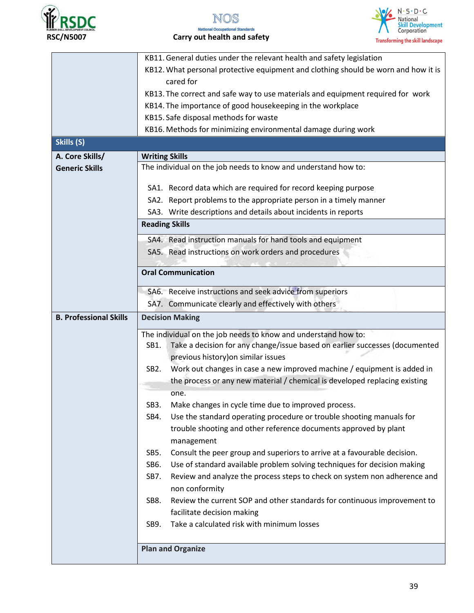





 **RSC/N5007 Carry out health and safety** 

|                               | KB11. General duties under the relevant health and safety legislation                        |  |  |  |
|-------------------------------|----------------------------------------------------------------------------------------------|--|--|--|
|                               | KB12. What personal protective equipment and clothing should be worn and how it is           |  |  |  |
|                               | cared for                                                                                    |  |  |  |
|                               | KB13. The correct and safe way to use materials and equipment required for work              |  |  |  |
|                               | KB14. The importance of good housekeeping in the workplace                                   |  |  |  |
|                               | KB15. Safe disposal methods for waste                                                        |  |  |  |
|                               | KB16. Methods for minimizing environmental damage during work                                |  |  |  |
| Skills (S)                    |                                                                                              |  |  |  |
| A. Core Skills/               | <b>Writing Skills</b>                                                                        |  |  |  |
| <b>Generic Skills</b>         | The individual on the job needs to know and understand how to:                               |  |  |  |
|                               | SA1. Record data which are required for record keeping purpose                               |  |  |  |
|                               | SA2. Report problems to the appropriate person in a timely manner                            |  |  |  |
|                               | SA3. Write descriptions and details about incidents in reports                               |  |  |  |
|                               |                                                                                              |  |  |  |
|                               | <b>Reading Skills</b>                                                                        |  |  |  |
|                               | SA4. Read instruction manuals for hand tools and equipment                                   |  |  |  |
|                               | SA5. Read instructions on work orders and procedures                                         |  |  |  |
|                               |                                                                                              |  |  |  |
|                               | <b>Oral Communication</b>                                                                    |  |  |  |
|                               | SA6. Receive instructions and seek advice from superiors                                     |  |  |  |
|                               | SA7. Communicate clearly and effectively with others                                         |  |  |  |
| <b>B. Professional Skills</b> | <b>Decision Making</b><br>The individual on the job needs to know and understand how to:     |  |  |  |
|                               |                                                                                              |  |  |  |
|                               | Take a decision for any change/issue based on earlier successes (documented<br>SB1.          |  |  |  |
|                               | previous history) on similar issues                                                          |  |  |  |
|                               | Work out changes in case a new improved machine / equipment is added in<br>SB <sub>2</sub> . |  |  |  |
|                               | the process or any new material / chemical is developed replacing existing                   |  |  |  |
|                               | one.                                                                                         |  |  |  |
|                               | SB <sub>3</sub> .<br>Make changes in cycle time due to improved process.                     |  |  |  |
|                               | Use the standard operating procedure or trouble shooting manuals for<br>SB4.                 |  |  |  |
|                               | trouble shooting and other reference documents approved by plant                             |  |  |  |
|                               | management                                                                                   |  |  |  |
|                               | Consult the peer group and superiors to arrive at a favourable decision.<br>SB5.             |  |  |  |
|                               | Use of standard available problem solving techniques for decision making<br>SB6.             |  |  |  |
|                               | SB7.<br>Review and analyze the process steps to check on system non adherence and            |  |  |  |
|                               | non conformity                                                                               |  |  |  |
|                               | Review the current SOP and other standards for continuous improvement to<br>SB8.             |  |  |  |
|                               | facilitate decision making                                                                   |  |  |  |
|                               | Take a calculated risk with minimum losses<br>SB9.                                           |  |  |  |
|                               |                                                                                              |  |  |  |
|                               | <b>Plan and Organize</b>                                                                     |  |  |  |
|                               |                                                                                              |  |  |  |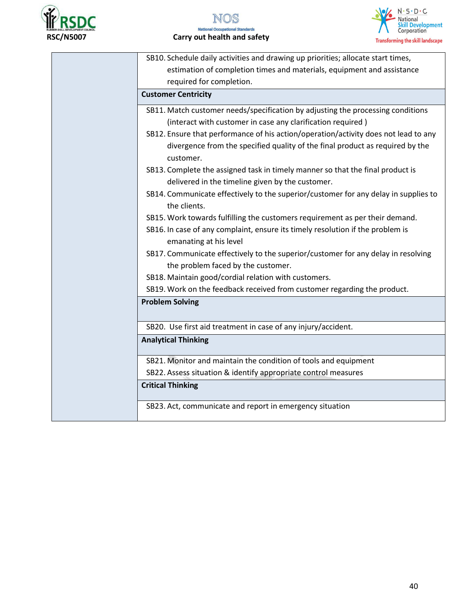



| SB10. Schedule daily activities and drawing up priorities; allocate start times,    |
|-------------------------------------------------------------------------------------|
| estimation of completion times and materials, equipment and assistance              |
|                                                                                     |
| required for completion.                                                            |
| <b>Customer Centricity</b>                                                          |
| SB11. Match customer needs/specification by adjusting the processing conditions     |
| (interact with customer in case any clarification required)                         |
| SB12. Ensure that performance of his action/operation/activity does not lead to any |
| divergence from the specified quality of the final product as required by the       |
| customer.                                                                           |
| SB13. Complete the assigned task in timely manner so that the final product is      |
| delivered in the timeline given by the customer.                                    |
| SB14. Communicate effectively to the superior/customer for any delay in supplies to |
| the clients.                                                                        |
| SB15. Work towards fulfilling the customers requirement as per their demand.        |
| SB16. In case of any complaint, ensure its timely resolution if the problem is      |
| emanating at his level                                                              |
| SB17. Communicate effectively to the superior/customer for any delay in resolving   |
| the problem faced by the customer.                                                  |
| SB18. Maintain good/cordial relation with customers.                                |
| SB19. Work on the feedback received from customer regarding the product.            |
| <b>Problem Solving</b>                                                              |
|                                                                                     |
| SB20. Use first aid treatment in case of any injury/accident.                       |
| <b>Analytical Thinking</b>                                                          |
|                                                                                     |
| SB21. Monitor and maintain the condition of tools and equipment                     |
| SB22. Assess situation & identify appropriate control measures                      |
| <b>Critical Thinking</b>                                                            |
|                                                                                     |
| SB23. Act, communicate and report in emergency situation                            |
|                                                                                     |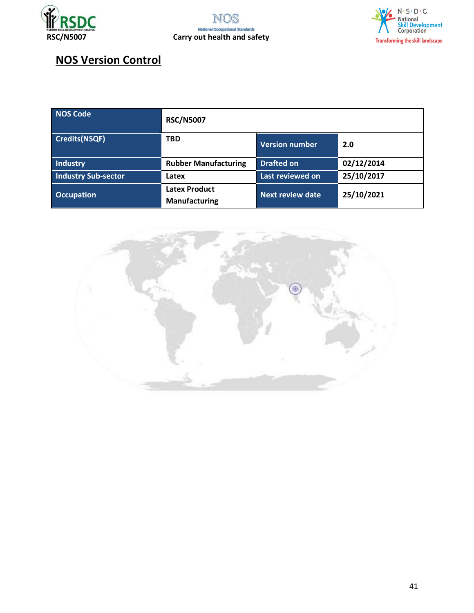





## **NOS Version Control**

| <b>NOS Code</b>            | <b>RSC/N5007</b>                             |                         |            |
|----------------------------|----------------------------------------------|-------------------------|------------|
| <b>Credits(NSQF)</b>       | <b>TBD</b>                                   | <b>Version number</b>   | 2.0        |
| <b>Industry</b>            | <b>Rubber Manufacturing</b>                  | <b>Drafted on</b>       | 02/12/2014 |
| <b>Industry Sub-sector</b> | Latex                                        | Last reviewed on        | 25/10/2017 |
| <b>Occupation</b>          | <b>Latex Product</b><br><b>Manufacturing</b> | <b>Next review date</b> | 25/10/2021 |

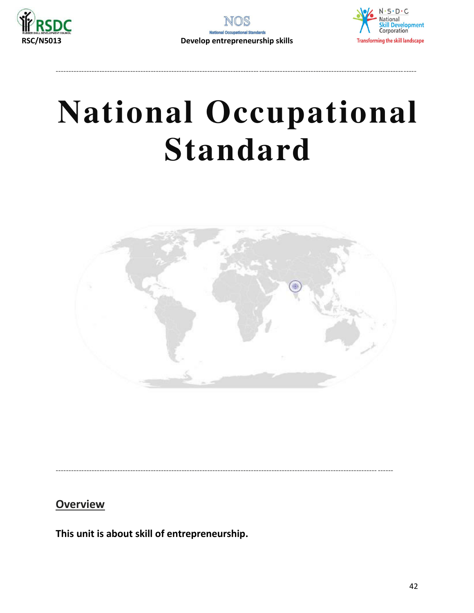





<span id="page-41-0"></span>

**Overview** 

This unit is about skill of entrepreneurship.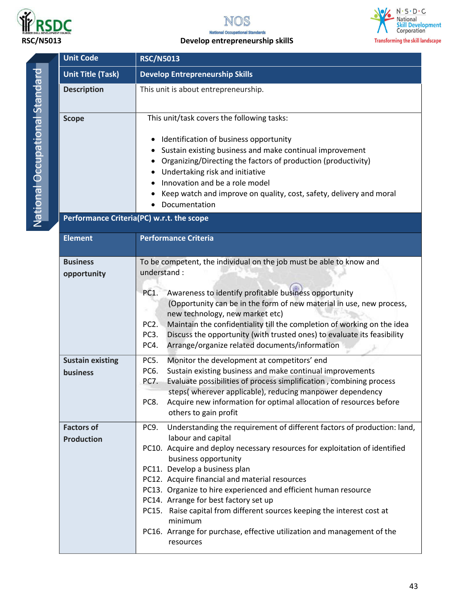

National Occupational Standard



### **RSC/N5013 Develop entrepreneurship skillS**



Unit Code RSC/N5013

| <b>Unit Title (Task)</b>               | <b>Develop Entrepreneurship Skills</b>                                                                                                                                                                                                                                                                                                                                                                                                                                                                                                                                                    |
|----------------------------------------|-------------------------------------------------------------------------------------------------------------------------------------------------------------------------------------------------------------------------------------------------------------------------------------------------------------------------------------------------------------------------------------------------------------------------------------------------------------------------------------------------------------------------------------------------------------------------------------------|
| <b>Description</b>                     | This unit is about entrepreneurship.                                                                                                                                                                                                                                                                                                                                                                                                                                                                                                                                                      |
| <b>Scope</b>                           | This unit/task covers the following tasks:<br>Identification of business opportunity<br>Sustain existing business and make continual improvement<br>Organizing/Directing the factors of production (productivity)<br>Undertaking risk and initiative<br>Innovation and be a role model<br>Keep watch and improve on quality, cost, safety, delivery and moral<br>Documentation                                                                                                                                                                                                            |
|                                        | Performance Criteria(PC) w.r.t. the scope                                                                                                                                                                                                                                                                                                                                                                                                                                                                                                                                                 |
| <b>Element</b>                         | <b>Performance Criteria</b>                                                                                                                                                                                                                                                                                                                                                                                                                                                                                                                                                               |
| <b>Business</b><br>opportunity         | To be competent, the individual on the job must be able to know and<br>understand:<br>Awareness to identify profitable business opportunity<br>PC1.<br>(Opportunity can be in the form of new material in use, new process,<br>new technology, new market etc)<br>Maintain the confidentiality till the completion of working on the idea<br>PC <sub>2</sub> .<br>Discuss the opportunity (with trusted ones) to evaluate its feasibility<br>PC <sub>3</sub> .<br>PC4.<br>Arrange/organize related documents/information                                                                  |
| <b>Sustain existing</b><br>business    | PC5.<br>Monitor the development at competitors' end<br>Sustain existing business and make continual improvements<br>PC6.<br>Evaluate possibilities of process simplification, combining process<br>PC7.<br>steps(wherever applicable), reducing manpower dependency<br>Acquire new information for optimal allocation of resources before<br>PC8.<br>others to gain profit                                                                                                                                                                                                                |
| <b>Factors of</b><br><b>Production</b> | Understanding the requirement of different factors of production: land,<br>PC9.<br>labour and capital<br>PC10. Acquire and deploy necessary resources for exploitation of identified<br>business opportunity<br>PC11. Develop a business plan<br>PC12. Acquire financial and material resources<br>PC13. Organize to hire experienced and efficient human resource<br>PC14. Arrange for best factory set up<br>PC15. Raise capital from different sources keeping the interest cost at<br>minimum<br>PC16. Arrange for purchase, effective utilization and management of the<br>resources |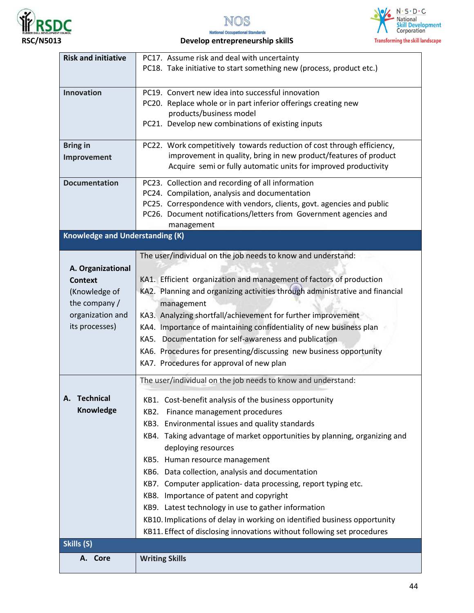







### **RSC/N5013 Develop entrepreneurship skillS**

| <b>Risk and initiative</b>             | PC17. Assume risk and deal with uncertainty                                  |
|----------------------------------------|------------------------------------------------------------------------------|
|                                        | PC18. Take initiative to start something new (process, product etc.)         |
|                                        |                                                                              |
| Innovation                             | PC19. Convert new idea into successful innovation                            |
|                                        | PC20. Replace whole or in part inferior offerings creating new               |
|                                        | products/business model                                                      |
|                                        | PC21. Develop new combinations of existing inputs                            |
|                                        |                                                                              |
| <b>Bring in</b>                        | PC22. Work competitively towards reduction of cost through efficiency,       |
| Improvement                            | improvement in quality, bring in new product/features of product             |
|                                        | Acquire semi or fully automatic units for improved productivity              |
|                                        |                                                                              |
| <b>Documentation</b>                   | PC23. Collection and recording of all information                            |
|                                        | PC24. Compilation, analysis and documentation                                |
|                                        | PC25. Correspondence with vendors, clients, govt. agencies and public        |
|                                        | PC26. Document notifications/letters from Government agencies and            |
|                                        | management                                                                   |
| <b>Knowledge and Understanding (K)</b> |                                                                              |
|                                        | The user/individual on the job needs to know and understand:                 |
| A. Organizational                      |                                                                              |
| <b>Context</b>                         | KA1. Efficient organization and management of factors of production          |
|                                        | KA2. Planning and organizing activities through administrative and financial |
| (Knowledge of                          |                                                                              |
| the company /                          | management                                                                   |
| organization and                       | KA3. Analyzing shortfall/achievement for further improvement                 |
| its processes)                         | KA4. Importance of maintaining confidentiality of new business plan          |
|                                        | KA5. Documentation for self-awareness and publication                        |
|                                        | KA6. Procedures for presenting/discussing new business opportunity           |
|                                        | KA7. Procedures for approval of new plan                                     |
|                                        |                                                                              |
|                                        | The user/individual on the job needs to know and understand:                 |
| <b>Technical</b>                       | KB1. Cost-benefit analysis of the business opportunity                       |
| Knowledge                              | Finance management procedures<br><b>KB2.</b>                                 |
|                                        | KB3. Environmental issues and quality standards                              |
|                                        | KB4. Taking advantage of market opportunities by planning, organizing and    |
|                                        |                                                                              |
|                                        | deploying resources                                                          |
|                                        | KB5. Human resource management                                               |
|                                        | KB6. Data collection, analysis and documentation                             |
|                                        | KB7. Computer application- data processing, report typing etc.               |
|                                        | KB8. Importance of patent and copyright                                      |
|                                        | KB9. Latest technology in use to gather information                          |
|                                        | KB10. Implications of delay in working on identified business opportunity    |
|                                        | KB11. Effect of disclosing innovations without following set procedures      |
| Skills (S)                             |                                                                              |
| A. Core                                | <b>Writing Skills</b>                                                        |
|                                        |                                                                              |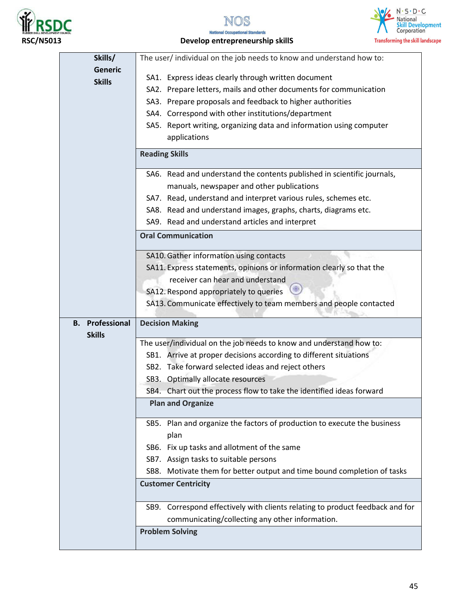









| Skills/                                 | The user/ individual on the job needs to know and understand how to:          |
|-----------------------------------------|-------------------------------------------------------------------------------|
| <b>Generic</b>                          | SA1. Express ideas clearly through written document                           |
| <b>Skills</b>                           | SA2. Prepare letters, mails and other documents for communication             |
|                                         | SA3. Prepare proposals and feedback to higher authorities                     |
|                                         | SA4. Correspond with other institutions/department                            |
|                                         | SA5. Report writing, organizing data and information using computer           |
|                                         | applications                                                                  |
|                                         | <b>Reading Skills</b>                                                         |
|                                         | SA6. Read and understand the contents published in scientific journals,       |
|                                         | manuals, newspaper and other publications                                     |
|                                         | SA7. Read, understand and interpret various rules, schemes etc.               |
|                                         | SA8. Read and understand images, graphs, charts, diagrams etc.                |
|                                         | SA9. Read and understand articles and interpret                               |
|                                         | <b>Oral Communication</b>                                                     |
|                                         | SA10. Gather information using contacts                                       |
|                                         | SA11. Express statements, opinions or information clearly so that the         |
|                                         | receiver can hear and understand                                              |
|                                         | SA12. Respond appropriately to queries                                        |
|                                         | SA13. Communicate effectively to team members and people contacted            |
| <b>B.</b> Professional<br><b>Skills</b> | <b>Decision Making</b>                                                        |
|                                         | The user/individual on the job needs to know and understand how to:           |
|                                         | SB1. Arrive at proper decisions according to different situations             |
|                                         | SB2. Take forward selected ideas and reject others                            |
|                                         |                                                                               |
|                                         | SB3. Optimally allocate resources                                             |
|                                         | SB4. Chart out the process flow to take the identified ideas forward          |
|                                         | <b>Plan and Organize</b>                                                      |
|                                         | SB5. Plan and organize the factors of production to execute the business      |
|                                         | plan                                                                          |
|                                         | SB6. Fix up tasks and allotment of the same                                   |
|                                         | SB7. Assign tasks to suitable persons                                         |
|                                         | SB8. Motivate them for better output and time bound completion of tasks       |
|                                         | <b>Customer Centricity</b>                                                    |
|                                         | SB9. Correspond effectively with clients relating to product feedback and for |
|                                         | communicating/collecting any other information.                               |
|                                         | <b>Problem Solving</b>                                                        |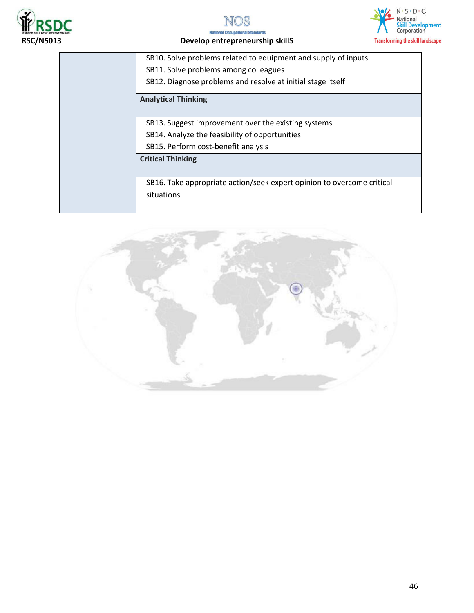







| SB10. Solve problems related to equipment and supply of inputs         |
|------------------------------------------------------------------------|
| SB11. Solve problems among colleagues                                  |
| SB12. Diagnose problems and resolve at initial stage itself            |
| <b>Analytical Thinking</b>                                             |
|                                                                        |
| SB13. Suggest improvement over the existing systems                    |
| SB14. Analyze the feasibility of opportunities                         |
| SB15. Perform cost-benefit analysis                                    |
| <b>Critical Thinking</b>                                               |
|                                                                        |
| SB16. Take appropriate action/seek expert opinion to overcome critical |
| situations                                                             |
|                                                                        |

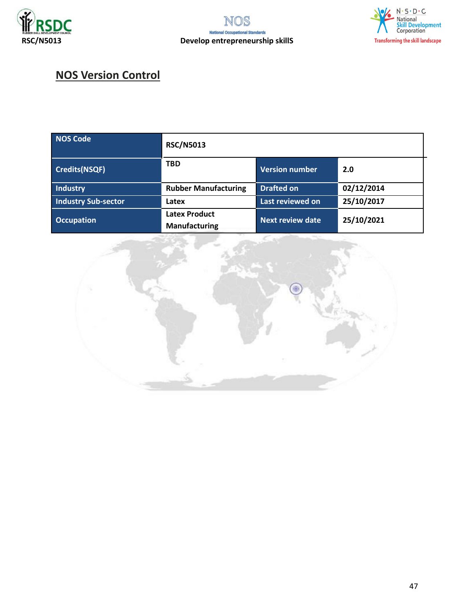



## **NOS Version Control**

| <b>NOS Code</b>      | <b>RSC/N5013</b>                             |                         |            |
|----------------------|----------------------------------------------|-------------------------|------------|
| <b>Credits(NSQF)</b> | <b>TBD</b>                                   | <b>Version number</b>   | 2.0        |
| Industry             | <b>Rubber Manufacturing</b>                  | <b>Drafted on</b>       | 02/12/2014 |
| Industry Sub-sector  | Latex                                        | Last reviewed on        | 25/10/2017 |
| <b>Occupation</b>    | <b>Latex Product</b><br><b>Manufacturing</b> | <b>Next review date</b> | 25/10/2021 |

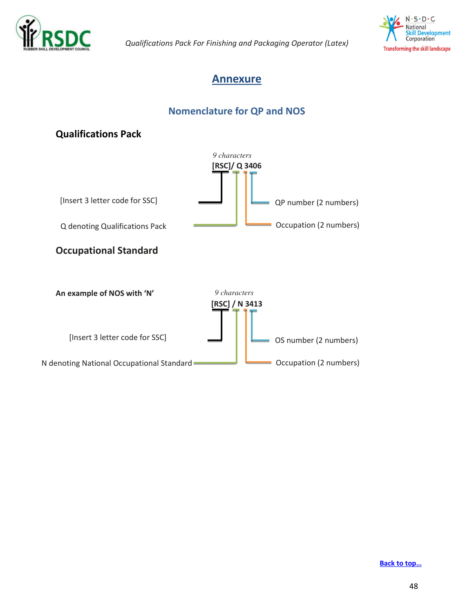



### <span id="page-47-0"></span>**Annexure**

### **Nomenclature for QP and NOS**



#### **[Back to top…](#page-0-1)**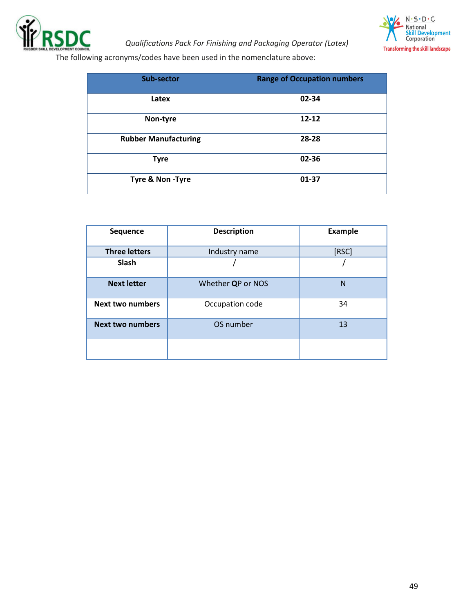



The following acronyms/codes have been used in the nomenclature above:

| Sub-sector                  | <b>Range of Occupation numbers</b> |
|-----------------------------|------------------------------------|
| Latex                       | 02-34                              |
| Non-tyre                    | $12 - 12$                          |
| <b>Rubber Manufacturing</b> | 28-28                              |
| <b>Tyre</b>                 | 02-36                              |
| Tyre & Non-Tyre             | 01-37                              |

| Sequence                | <b>Description</b> | <b>Example</b> |
|-------------------------|--------------------|----------------|
| <b>Three letters</b>    | Industry name      | [RSC]          |
| Slash                   |                    |                |
| <b>Next letter</b>      | Whether QP or NOS  | N              |
| <b>Next two numbers</b> | Occupation code    | 34             |
| <b>Next two numbers</b> | OS number          | 13             |
|                         |                    |                |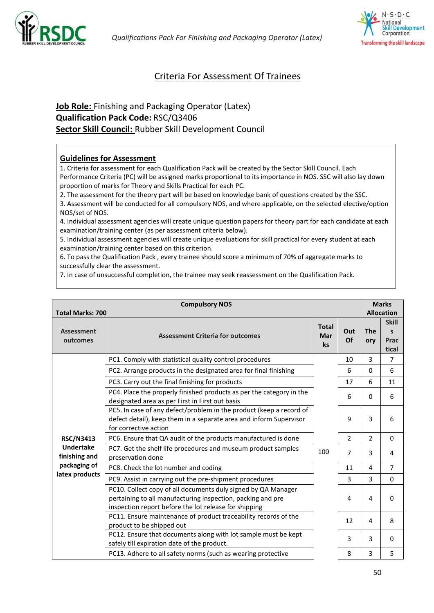



### <span id="page-49-0"></span>Criteria For Assessment Of Trainees

### **Job Role:** Finishing and Packaging Operator (Latex) **Qualification Pack Code:** RSC/Q3406 **Sector Skill Council:** Rubber Skill Development Council

#### **Guidelines for Assessment**

1. Criteria for assessment for each Qualification Pack will be created by the Sector Skill Council. Each Performance Criteria (PC) will be assigned marks proportional to its importance in NOS. SSC will also lay down proportion of marks for Theory and Skills Practical for each PC.

2. The assessment for the theory part will be based on knowledge bank of questions created by the SSC.

3. Assessment will be conducted for all compulsory NOS, and where applicable, on the selected elective/option NOS/set of NOS.

4. Individual assessment agencies will create unique question papers for theory part for each candidate at each examination/training center (as per assessment criteria below).

5. Individual assessment agencies will create unique evaluations for skill practical for every student at each examination/training center based on this criterion.

6. To pass the Qualification Pack , every trainee should score a minimum of 70% of aggregate marks to successfully clear the assessment.

7. In case of unsuccessful completion, the trainee may seek reassessment on the Qualification Pack.

|                                                          | <b>Compulsory NOS</b>                                                                                                                                                                 |                           |                | <b>Marks</b><br><b>Allocation</b> |                                               |
|----------------------------------------------------------|---------------------------------------------------------------------------------------------------------------------------------------------------------------------------------------|---------------------------|----------------|-----------------------------------|-----------------------------------------------|
| <b>Total Marks: 700</b><br><b>Assessment</b><br>outcomes | <b>Assessment Criteria for outcomes</b>                                                                                                                                               | <b>Total</b><br>Mar<br>ks | Out<br>Of      | <b>The</b><br>ory                 | <b>Skill</b><br>$\mathsf{s}$<br>Prac<br>tical |
|                                                          | PC1. Comply with statistical quality control procedures                                                                                                                               |                           | 10             | $\overline{3}$                    | $\overline{7}$                                |
|                                                          | PC2. Arrange products in the designated area for final finishing                                                                                                                      |                           | 6              | 0                                 | 6                                             |
|                                                          | PC3. Carry out the final finishing for products                                                                                                                                       |                           | 17             | 6                                 | 11                                            |
|                                                          | PC4. Place the properly finished products as per the category in the<br>designated area as per First in First out basis                                                               | 100                       | 6              | 0                                 | 6                                             |
|                                                          | PC5. In case of any defect/problem in the product (keep a record of<br>defect detail), keep them in a separate area and inform Supervisor<br>for corrective action                    |                           | 9              | $\overline{3}$                    | 6                                             |
| <b>RSC/N3413</b>                                         | PC6. Ensure that QA audit of the products manufactured is done                                                                                                                        |                           | $\overline{2}$ | $\overline{2}$                    | $\Omega$                                      |
| <b>Undertake</b><br>finishing and                        | PC7. Get the shelf life procedures and museum product samples<br>preservation done                                                                                                    |                           | $\overline{7}$ | $\overline{3}$                    | 4                                             |
| packaging of                                             | PC8. Check the lot number and coding                                                                                                                                                  |                           | 11             | 4                                 | $\overline{7}$                                |
| latex products                                           | PC9. Assist in carrying out the pre-shipment procedures                                                                                                                               |                           | $\overline{3}$ | 3                                 | $\Omega$                                      |
|                                                          | PC10. Collect copy of all documents duly signed by QA Manager<br>pertaining to all manufacturing inspection, packing and pre<br>inspection report before the lot release for shipping |                           | 4              | 4                                 | $\Omega$                                      |
|                                                          | PC11. Ensure maintenance of product traceability records of the<br>product to be shipped out                                                                                          |                           | 12             | 4                                 | 8                                             |
|                                                          | PC12. Ensure that documents along with lot sample must be kept<br>safely till expiration date of the product.                                                                         |                           | $\overline{3}$ | $\overline{3}$                    | $\Omega$                                      |
|                                                          | PC13. Adhere to all safety norms (such as wearing protective                                                                                                                          |                           | 8              | $\overline{3}$                    | 5                                             |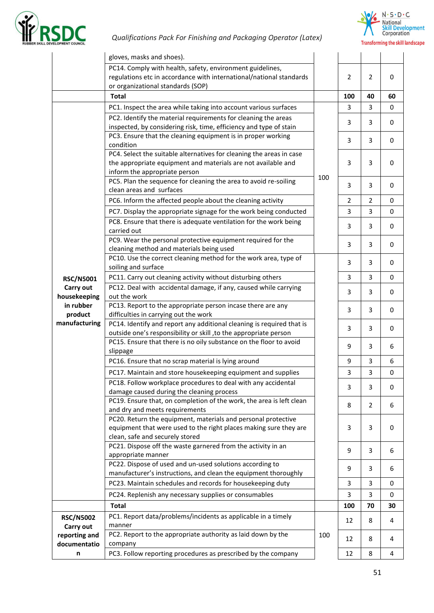



|                               | gloves, masks and shoes).                                                                                                                  |     |                |                |                  |
|-------------------------------|--------------------------------------------------------------------------------------------------------------------------------------------|-----|----------------|----------------|------------------|
|                               | PC14. Comply with health, safety, environment guidelines,                                                                                  |     |                |                |                  |
|                               | regulations etc in accordance with international/national standards                                                                        |     | 2              | 2              | $\mathbf 0$      |
|                               | or organizational standards (SOP)                                                                                                          |     |                |                |                  |
|                               | <b>Total</b>                                                                                                                               |     | 100            | 40             | 60               |
|                               | PC1. Inspect the area while taking into account various surfaces                                                                           |     | 3              | 3              | $\mathbf 0$      |
|                               | PC2. Identify the material requirements for cleaning the areas                                                                             |     | 3              | 3              | $\mathbf 0$      |
|                               | inspected, by considering risk, time, efficiency and type of stain                                                                         |     |                |                |                  |
|                               | PC3. Ensure that the cleaning equipment is in proper working                                                                               |     | 3              | 3              | $\mathbf 0$      |
|                               | condition                                                                                                                                  |     |                |                |                  |
|                               | PC4. Select the suitable alternatives for cleaning the areas in case<br>the appropriate equipment and materials are not available and      |     | 3              | 3              | 0                |
|                               | inform the appropriate person                                                                                                              |     |                |                |                  |
|                               | PC5. Plan the sequence for cleaning the area to avoid re-soiling                                                                           | 100 |                |                |                  |
|                               | clean areas and surfaces                                                                                                                   |     | 3              | 3              | 0                |
|                               | PC6. Inform the affected people about the cleaning activity                                                                                |     | $\overline{2}$ | $\overline{2}$ | $\mathbf 0$      |
|                               | PC7. Display the appropriate signage for the work being conducted                                                                          |     | 3              | 3              | 0                |
|                               | PC8. Ensure that there is adequate ventilation for the work being                                                                          |     |                |                |                  |
|                               | carried out                                                                                                                                |     | 3              | 3              | $\mathbf 0$      |
|                               | PC9. Wear the personal protective equipment required for the                                                                               |     |                |                |                  |
|                               | cleaning method and materials being used                                                                                                   |     | 3              | 3              | 0                |
|                               | PC10. Use the correct cleaning method for the work area, type of                                                                           |     | 3              | 3              | $\mathbf 0$      |
|                               | soiling and surface                                                                                                                        |     |                |                |                  |
| <b>RSC/N5001</b>              | PC11. Carry out cleaning activity without disturbing others                                                                                |     | 3              | 3              | 0                |
| Carry out                     | PC12. Deal with accidental damage, if any, caused while carrying                                                                           |     | 3              | 3              | 0                |
| housekeeping                  | out the work                                                                                                                               |     |                |                |                  |
| in rubber                     | PC13. Report to the appropriate person incase there are any                                                                                |     | 3              | 3              | $\mathbf 0$      |
| product<br>manufacturing      | difficulties in carrying out the work                                                                                                      |     |                |                |                  |
|                               | PC14. Identify and report any additional cleaning is required that is<br>outside one's responsibility or skill , to the appropriate person |     | 3              | 3              | 0                |
|                               | PC15. Ensure that there is no oily substance on the floor to avoid                                                                         |     |                |                |                  |
|                               | slippage                                                                                                                                   |     | 9              | 3              | 6                |
|                               | PC16. Ensure that no scrap material is lying around                                                                                        |     | 9              | 3              | 6                |
|                               | PC17. Maintain and store housekeeping equipment and supplies                                                                               |     | 3              | 3              | $\boldsymbol{0}$ |
|                               | PC18. Follow workplace procedures to deal with any accidental                                                                              |     |                |                |                  |
|                               | damage caused during the cleaning process                                                                                                  |     | 3              | 3              | 0                |
|                               | PC19. Ensure that, on completion of the work, the area is left clean                                                                       |     |                |                |                  |
|                               | and dry and meets requirements                                                                                                             |     | 8              | 2              | 6                |
|                               | PC20. Return the equipment, materials and personal protective                                                                              |     |                |                |                  |
|                               | equipment that were used to the right places making sure they are                                                                          |     | 3              | 3              | 0                |
|                               | clean, safe and securely stored                                                                                                            |     |                |                |                  |
|                               | PC21. Dispose off the waste garnered from the activity in an                                                                               |     | 9              | 3              | 6                |
|                               | appropriate manner<br>PC22. Dispose of used and un-used solutions according to                                                             |     |                |                |                  |
|                               | manufacturer's instructions, and clean the equipment thoroughly                                                                            |     | 9              | 3              | 6                |
|                               | PC23. Maintain schedules and records for housekeeping duty                                                                                 |     | 3              | 3              | $\mathbf 0$      |
|                               | PC24. Replenish any necessary supplies or consumables                                                                                      |     | 3              | 3              | 0                |
|                               |                                                                                                                                            |     |                |                |                  |
|                               | <b>Total</b>                                                                                                                               |     | 100            | 70             | 30               |
| <b>RSC/N5002</b>              | PC1. Report data/problems/incidents as applicable in a timely                                                                              |     | 12             | 8              | 4                |
| Carry out                     | manner<br>PC2. Report to the appropriate authority as laid down by the                                                                     | 100 |                |                |                  |
| reporting and<br>documentatio | company                                                                                                                                    |     | 12             | 8              | 4                |
| n                             | PC3. Follow reporting procedures as prescribed by the company                                                                              |     | 12             | 8              | 4                |
|                               |                                                                                                                                            |     |                |                |                  |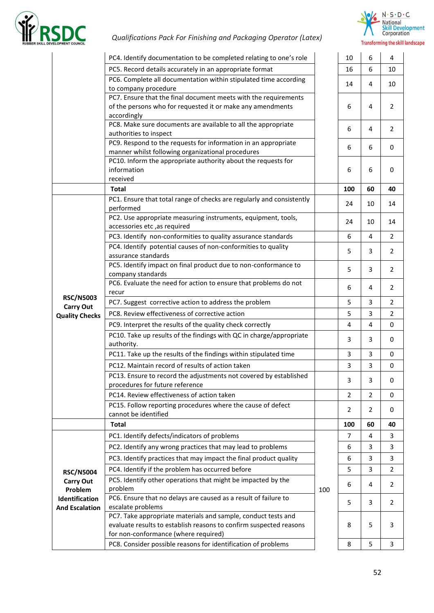



|                                                                                                                       | PC4. Identify documentation to be completed relating to one's role                                                                                                          |     | 10             | 6              | 4              |
|-----------------------------------------------------------------------------------------------------------------------|-----------------------------------------------------------------------------------------------------------------------------------------------------------------------------|-----|----------------|----------------|----------------|
|                                                                                                                       | PC5. Record details accurately in an appropriate format                                                                                                                     |     | 16             | 6              | 10             |
|                                                                                                                       | PC6. Complete all documentation within stipulated time according<br>to company procedure                                                                                    |     | 14             | 4              | 10             |
|                                                                                                                       | PC7. Ensure that the final document meets with the requirements<br>of the persons who for requested it or make any amendments<br>accordingly                                |     | 6              | 4              | $\overline{2}$ |
|                                                                                                                       | PC8. Make sure documents are available to all the appropriate<br>authorities to inspect                                                                                     |     | 6              | 4              | $\overline{2}$ |
|                                                                                                                       | PC9. Respond to the requests for information in an appropriate<br>manner whilst following organizational procedures                                                         |     | 6              | 6              | 0              |
|                                                                                                                       | PC10. Inform the appropriate authority about the requests for<br>information<br>received                                                                                    |     | 6              | 6              | 0              |
|                                                                                                                       | <b>Total</b>                                                                                                                                                                |     | 100            | 60             | 40             |
|                                                                                                                       | PC1. Ensure that total range of checks are regularly and consistently<br>performed                                                                                          |     | 24             | 10             | 14             |
|                                                                                                                       | PC2. Use appropriate measuring instruments, equipment, tools,<br>accessories etc, as required                                                                               |     | 24             | 10             | 14             |
|                                                                                                                       | PC3. Identify non-conformities to quality assurance standards                                                                                                               |     | 6              | $\overline{4}$ | $\overline{2}$ |
|                                                                                                                       | PC4. Identify potential causes of non-conformities to quality<br>assurance standards                                                                                        |     | 5              | 3              | $\overline{2}$ |
|                                                                                                                       | PC5. Identify impact on final product due to non-conformance to<br>company standards                                                                                        |     | 5              | 3              | $\overline{2}$ |
|                                                                                                                       | PC6. Evaluate the need for action to ensure that problems do not<br>recur                                                                                                   |     | 6              | 4              | $\overline{2}$ |
|                                                                                                                       | PC7. Suggest corrective action to address the problem                                                                                                                       |     | 5              | 3              | $\overline{2}$ |
|                                                                                                                       | PC8. Review effectiveness of corrective action                                                                                                                              |     | 5              | 3              | $\overline{2}$ |
|                                                                                                                       | PC9. Interpret the results of the quality check correctly                                                                                                                   |     | 4              | 4              | 0              |
|                                                                                                                       | PC10. Take up results of the findings with QC in charge/appropriate<br>authority.                                                                                           |     | 3              | 3              | 0              |
|                                                                                                                       | PC11. Take up the results of the findings within stipulated time                                                                                                            |     | 3              | 3              | 0              |
|                                                                                                                       | PC12. Maintain record of results of action taken                                                                                                                            |     | 3              | 3              | 0              |
|                                                                                                                       | PC13. Ensure to record the adjustments not covered by established<br>procedures for future reference                                                                        |     | 3              | 3              | 0              |
|                                                                                                                       | PC14. Review effectiveness of action taken                                                                                                                                  |     | 2              | 2              | 0              |
|                                                                                                                       | PC15. Follow reporting procedures where the cause of defect<br>cannot be identified                                                                                         |     | $\overline{2}$ | 2              | 0              |
|                                                                                                                       | Total                                                                                                                                                                       |     | 100            | 60             | 40             |
|                                                                                                                       | PC1. Identify defects/indicators of problems                                                                                                                                |     | $\overline{7}$ | 4              | 3              |
|                                                                                                                       | PC2. Identify any wrong practices that may lead to problems                                                                                                                 |     | 6              | 3              | 3              |
|                                                                                                                       | PC3. Identify practices that may impact the final product quality                                                                                                           |     | 6              | 3              | 3              |
|                                                                                                                       | PC4. Identify if the problem has occurred before                                                                                                                            |     | 5              | 3              | $\mathbf{2}$   |
| <b>Carry Out</b>                                                                                                      | PC5. Identify other operations that might be impacted by the<br>problem                                                                                                     | 100 | 6              | 4              | $\overline{2}$ |
| Identification                                                                                                        | PC6. Ensure that no delays are caused as a result of failure to<br>escalate problems                                                                                        |     | 5              | 3              | $\overline{2}$ |
|                                                                                                                       | PC7. Take appropriate materials and sample, conduct tests and<br>evaluate results to establish reasons to confirm suspected reasons<br>for non-conformance (where required) |     | 8              | 5.             | 3              |
| <b>RSC/N5003</b><br><b>Carry Out</b><br><b>Quality Checks</b><br><b>RSC/N5004</b><br>Problem<br><b>And Escalation</b> | PC8. Consider possible reasons for identification of problems                                                                                                               |     | 8              | 5              | 3              |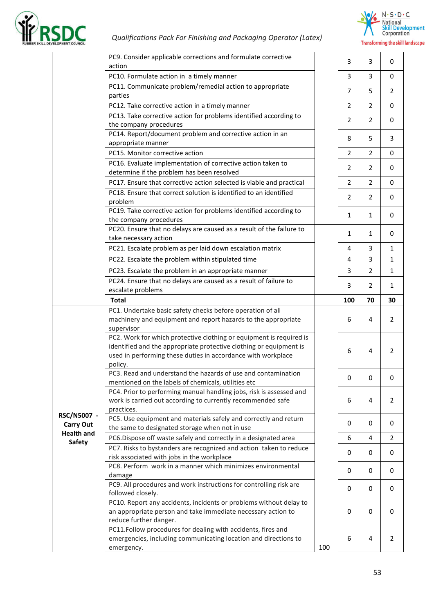



|                   | PC9. Consider applicable corrections and formulate corrective<br>action                                                                   |     | 3              | 3              | 0            |
|-------------------|-------------------------------------------------------------------------------------------------------------------------------------------|-----|----------------|----------------|--------------|
|                   | PC10. Formulate action in a timely manner                                                                                                 |     | 3              | 3              | 0            |
|                   | PC11. Communicate problem/remedial action to appropriate                                                                                  |     | $\overline{7}$ | 5              | 2            |
|                   | parties                                                                                                                                   |     |                |                |              |
|                   | PC12. Take corrective action in a timely manner                                                                                           |     | 2              | $\overline{2}$ | 0            |
|                   | PC13. Take corrective action for problems identified according to<br>the company procedures                                               |     | 2              | $\overline{2}$ | 0            |
|                   | PC14. Report/document problem and corrective action in an                                                                                 |     | 8              | 5              | 3            |
|                   | appropriate manner<br>PC15. Monitor corrective action                                                                                     |     |                | $\overline{2}$ |              |
|                   | PC16. Evaluate implementation of corrective action taken to                                                                               |     | $\overline{2}$ |                | 0            |
|                   | determine if the problem has been resolved                                                                                                |     | 2              | 2              | 0            |
|                   | PC17. Ensure that corrective action selected is viable and practical                                                                      |     | $\overline{2}$ | $\overline{2}$ | 0            |
|                   | PC18. Ensure that correct solution is identified to an identified                                                                         |     |                |                |              |
|                   | problem                                                                                                                                   |     | 2              | 2              | 0            |
|                   | PC19. Take corrective action for problems identified according to<br>the company procedures                                               |     | 1              | $\mathbf{1}$   | 0            |
|                   | PC20. Ensure that no delays are caused as a result of the failure to<br>take necessary action                                             |     | 1              | $\mathbf{1}$   | 0            |
|                   | PC21. Escalate problem as per laid down escalation matrix                                                                                 |     | 4              | 3              | 1            |
|                   | PC22. Escalate the problem within stipulated time                                                                                         |     | 4              | 3              | 1            |
|                   | PC23. Escalate the problem in an appropriate manner                                                                                       |     | 3              | $\overline{2}$ | $\mathbf{1}$ |
|                   | PC24. Ensure that no delays are caused as a result of failure to                                                                          |     |                |                |              |
|                   | escalate problems                                                                                                                         |     | 3              | 2              | 1            |
|                   | <b>Total</b>                                                                                                                              |     | 100            | 70             | 30           |
|                   | PC1. Undertake basic safety checks before operation of all                                                                                |     |                |                |              |
|                   | machinery and equipment and report hazards to the appropriate                                                                             |     | 6              | 4              | 2            |
|                   | supervisor                                                                                                                                |     |                |                |              |
|                   | PC2. Work for which protective clothing or equipment is required is<br>identified and the appropriate protective clothing or equipment is |     | 6              | 4              | 2            |
|                   | used in performing these duties in accordance with workplace<br>policy.                                                                   |     |                |                |              |
|                   | PC3. Read and understand the hazards of use and contamination                                                                             |     | 0              | $\mathbf 0$    | 0            |
|                   | mentioned on the labels of chemicals, utilities etc                                                                                       |     |                |                |              |
|                   | PC4. Prior to performing manual handling jobs, risk is assessed and<br>work is carried out according to currently recommended safe        |     | 6              | 4              | 2            |
| RSC/N5007 -       | practices.<br>PC5. Use equipment and materials safely and correctly and return                                                            |     |                |                |              |
| <b>Carry Out</b>  | the same to designated storage when not in use                                                                                            |     | 0              | 0              | 0            |
| <b>Health and</b> | PC6.Dispose off waste safely and correctly in a designated area                                                                           |     | 6              | 4              | 2            |
| <b>Safety</b>     | PC7. Risks to bystanders are recognized and action taken to reduce                                                                        |     |                |                |              |
|                   | risk associated with jobs in the workplace                                                                                                |     | 0              | 0              | 0            |
|                   | PC8. Perform work in a manner which minimizes environmental                                                                               |     | 0              | 0              | 0            |
|                   | damage                                                                                                                                    |     |                |                |              |
|                   | PC9. All procedures and work instructions for controlling risk are<br>followed closely.                                                   |     | 0              | 0              | 0            |
|                   | PC10. Report any accidents, incidents or problems without delay to                                                                        |     |                |                |              |
|                   | an appropriate person and take immediate necessary action to<br>reduce further danger.                                                    |     | 0              | $\mathbf 0$    | 0            |
|                   | PC11.Follow procedures for dealing with accidents, fires and                                                                              |     |                |                |              |
|                   | emergencies, including communicating location and directions to                                                                           |     | 6              | 4              | 2            |
|                   | emergency.                                                                                                                                | 100 |                |                |              |
|                   |                                                                                                                                           |     |                |                |              |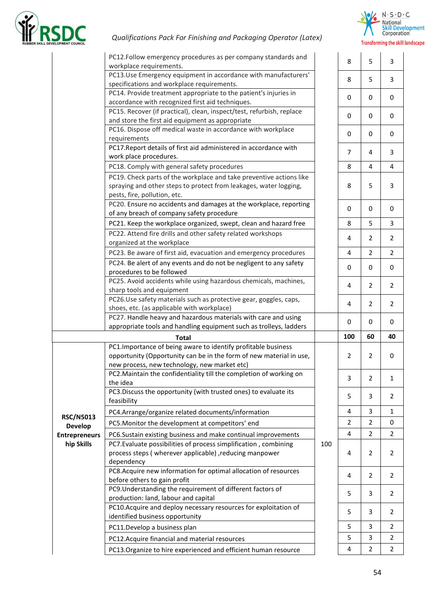



|                                    | PC12.Follow emergency procedures as per company standards and<br>workplace requirements.                             |     | 8              | 5              | $\mathsf 3$      |
|------------------------------------|----------------------------------------------------------------------------------------------------------------------|-----|----------------|----------------|------------------|
|                                    | PC13.Use Emergency equipment in accordance with manufacturers'                                                       |     | 8              | 5              | 3                |
|                                    | specifications and workplace requirements.                                                                           |     |                |                |                  |
|                                    | PC14. Provide treatment appropriate to the patient's injuries in<br>accordance with recognized first aid techniques. |     | 0              | 0              | $\pmb{0}$        |
|                                    | PC15. Recover (if practical), clean, inspect/test, refurbish, replace                                                |     |                |                |                  |
|                                    | and store the first aid equipment as appropriate                                                                     |     | 0              | 0              | $\boldsymbol{0}$ |
|                                    | PC16. Dispose off medical waste in accordance with workplace                                                         |     |                |                |                  |
|                                    | requirements                                                                                                         |     | 0              | 0              | 0                |
|                                    | PC17. Report details of first aid administered in accordance with                                                    |     |                |                |                  |
|                                    | work place procedures.                                                                                               |     | $\overline{7}$ | 4              | 3                |
|                                    | PC18. Comply with general safety procedures                                                                          |     | 8              | 4              | 4                |
|                                    | PC19. Check parts of the workplace and take preventive actions like                                                  |     |                |                |                  |
|                                    | spraying and other steps to protect from leakages, water logging,                                                    |     | 8              | 5              | 3                |
|                                    | pests, fire, pollution, etc.                                                                                         |     |                |                |                  |
|                                    | PC20. Ensure no accidents and damages at the workplace, reporting                                                    |     |                |                |                  |
|                                    | of any breach of company safety procedure                                                                            |     | 0              | $\mathbf 0$    | 0                |
|                                    | PC21. Keep the workplace organized, swept, clean and hazard free                                                     |     | 8              | 5              | 3                |
|                                    | PC22. Attend fire drills and other safety related workshops                                                          |     |                |                |                  |
|                                    | organized at the workplace                                                                                           |     | 4              | 2              | $\overline{2}$   |
|                                    | PC23. Be aware of first aid, evacuation and emergency procedures                                                     |     | 4              | $\overline{2}$ | $\overline{2}$   |
|                                    | PC24. Be alert of any events and do not be negligent to any safety                                                   |     |                |                |                  |
|                                    | procedures to be followed                                                                                            |     | 0              | 0              | 0                |
|                                    | PC25. Avoid accidents while using hazardous chemicals, machines,                                                     |     |                |                |                  |
|                                    | sharp tools and equipment                                                                                            |     | 4              | $\overline{2}$ | $\overline{2}$   |
|                                    | PC26.Use safety materials such as protective gear, goggles, caps,                                                    |     |                |                |                  |
|                                    | shoes, etc. (as applicable with workplace)                                                                           |     | 4              | $\overline{2}$ | 2                |
|                                    | PC27. Handle heavy and hazardous materials with care and using                                                       |     | 0              | 0              | 0                |
|                                    | appropriate tools and handling equipment such as trolleys, ladders                                                   |     |                |                |                  |
|                                    | <b>Total</b>                                                                                                         |     | 100            | 60             | 40               |
|                                    | PC1. Importance of being aware to identify profitable business                                                       |     |                |                |                  |
|                                    | opportunity (Opportunity can be in the form of new material in use,                                                  |     | 2              | $\overline{2}$ | $\pmb{0}$        |
|                                    | new process, new technology, new market etc)                                                                         |     |                |                |                  |
|                                    | PC2. Maintain the confidentiality till the completion of working on                                                  |     | 3              | $\overline{2}$ | 1                |
|                                    | the idea                                                                                                             |     |                |                |                  |
|                                    | PC3. Discuss the opportunity (with trusted ones) to evaluate its<br>feasibility                                      |     | 5              | 3              | 2                |
|                                    | PC4.Arrange/organize related documents/information                                                                   |     | 4              | 3              | 1                |
| <b>RSC/N5013</b><br><b>Develop</b> | PC5. Monitor the development at competitors' end                                                                     |     | $\overline{2}$ | $\overline{2}$ | 0                |
| <b>Entrepreneurs</b>               | PC6.Sustain existing business and make continual improvements                                                        |     | 4              | $\overline{2}$ | 2                |
| hip Skills                         | PC7. Evaluate possibilities of process simplification, combining                                                     | 100 |                |                |                  |
|                                    | process steps (wherever applicable), reducing manpower                                                               |     | 4              | 2              | 2                |
|                                    | dependency                                                                                                           |     |                |                |                  |
|                                    | PC8.Acquire new information for optimal allocation of resources                                                      |     |                |                |                  |
|                                    | before others to gain profit                                                                                         |     | 4              | $\overline{2}$ | 2                |
|                                    | PC9. Understanding the requirement of different factors of                                                           |     | 5              | 3              | 2                |
|                                    | production: land, labour and capital                                                                                 |     |                |                |                  |
|                                    | PC10. Acquire and deploy necessary resources for exploitation of                                                     |     | 5              | 3              | 2                |
|                                    | identified business opportunity                                                                                      |     |                |                |                  |
|                                    | PC11.Develop a business plan                                                                                         |     | 5              | 3              | 2                |
|                                    | PC12. Acquire financial and material resources                                                                       |     | 5              | 3              | 2                |
|                                    | PC13. Organize to hire experienced and efficient human resource                                                      |     | 4              | $\overline{2}$ | $\overline{2}$   |